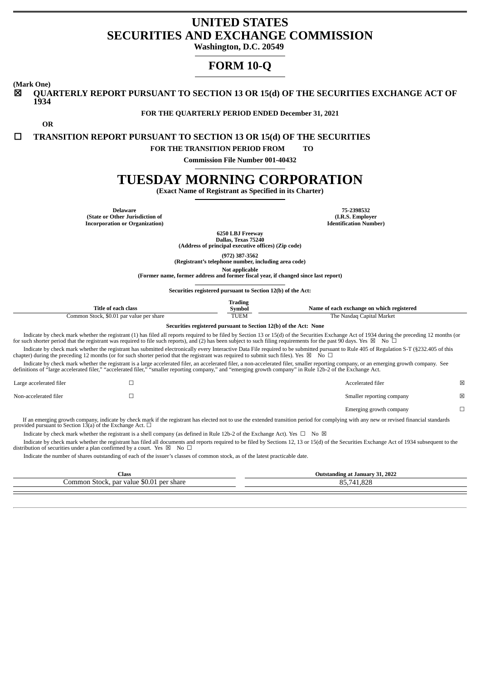# **UNITED STATES SECURITIES AND EXCHANGE COMMISSION**

**Washington, D.C. 20549**

# **FORM 10-Q**

**(Mark One)**

☒ **QUARTERLY REPORT PURSUANT TO SECTION 13 OR 15(d) OF THE SECURITIES EXCHANGE ACT OF 1934**

## **FOR THE QUARTERLY PERIOD ENDED December 31, 2021**

**OR**

# ☐ **TRANSITION REPORT PURSUANT TO SECTION 13 OR 15(d) OF THE SECURITIES**

**FOR THE TRANSITION PERIOD FROM TO**

**Commission File Number 001-40432**

# **TUESDAY MORNING CORPORATION**

**(Exact Name of Registrant as Specified in its Charter)**

**(State or Other Jurisdiction of (I.R.S. Employer**  $Incorporation$  **or Organization**)

**Delaware 75-2398532**

**6250 LBJ Freeway Dallas, Texas 75240**

**(Address of principal executive offices) (Zip code)**

**(972) 387-3562 (Registrant's telephone number, including area code)**

**Not applicable**

**(Former name, former address and former fiscal year, if changed since last report)**

**Securities registered pursuant to Section 12(b) of the Act:**

| Title of each class                                                                                                                                                                                                                                                                                                                                                                   |                                                                  | Trading<br>Symbol | Name of each exchange on which registered                                                                                                                                                                                                                                                                                                                |  |  |  |  |  |
|---------------------------------------------------------------------------------------------------------------------------------------------------------------------------------------------------------------------------------------------------------------------------------------------------------------------------------------------------------------------------------------|------------------------------------------------------------------|-------------------|----------------------------------------------------------------------------------------------------------------------------------------------------------------------------------------------------------------------------------------------------------------------------------------------------------------------------------------------------------|--|--|--|--|--|
| Common Stock, \$0.01 par value per share                                                                                                                                                                                                                                                                                                                                              |                                                                  | <b>TUEM</b>       | The Nasdaq Capital Market                                                                                                                                                                                                                                                                                                                                |  |  |  |  |  |
|                                                                                                                                                                                                                                                                                                                                                                                       | Securities registered pursuant to Section 12(b) of the Act: None |                   |                                                                                                                                                                                                                                                                                                                                                          |  |  |  |  |  |
| Indicate by check mark whether the registrant (1) has filed all reports required to be filed by Section 13 or 15(d) of the Securities Exchange Act of 1934 during the preceding 12 months (or<br>for such shorter period that the registrant was required to file such reports), and (2) has been subject to such filing requirements for the past 90 days. Yes $\boxtimes$ No $\Box$ |                                                                  |                   |                                                                                                                                                                                                                                                                                                                                                          |  |  |  |  |  |
| Indicate by check mark whether the registrant has submitted electronically every Interactive Data File required to be submitted pursuant to Rule 405 of Regulation S-T (§232.405 of this<br>chapter) during the preceding 12 months (or for such shorter period that the registrant was required to submit such files). Yes $\boxtimes$ No $\Box$                                     |                                                                  |                   |                                                                                                                                                                                                                                                                                                                                                          |  |  |  |  |  |
|                                                                                                                                                                                                                                                                                                                                                                                       |                                                                  |                   | Indicate by check mark whether the registrant is a large accelerated filer, an accelerated filer, a non-accelerated filer, smaller reporting company, or an emerging growth company. See<br>definitions of "large accelerated filer," "accelerated filer," "smaller reporting company," and "emerging growth company" in Rule 12b-2 of the Exchange Act. |  |  |  |  |  |
| Large accelerated filer                                                                                                                                                                                                                                                                                                                                                               |                                                                  |                   | ⊠<br>Accelerated filer                                                                                                                                                                                                                                                                                                                                   |  |  |  |  |  |
| Non-accelerated filer                                                                                                                                                                                                                                                                                                                                                                 |                                                                  |                   | ⊠<br>Smaller reporting company                                                                                                                                                                                                                                                                                                                           |  |  |  |  |  |
|                                                                                                                                                                                                                                                                                                                                                                                       |                                                                  |                   | Emerging growth company                                                                                                                                                                                                                                                                                                                                  |  |  |  |  |  |
| If an emerging growth company, indicate by check mark if the registrant has elected not to use the extended transition period for complying with any new or revised financial standards<br>provided pursuant to Section 13(a) of the Exchange Act. $\Box$                                                                                                                             |                                                                  |                   |                                                                                                                                                                                                                                                                                                                                                          |  |  |  |  |  |

Indicate by check mark whether the registrant is a shell company (as defined in Rule 12b-2 of the Exchange Act). Yes  $\Box$  No  $\boxtimes$ 

Indicate by check mark whether the registrant has filed all documents and reports required to be filed by Sections 12, 13 or 15(d) of the Securities Exchange Act of 1934 subsequent to the distribution of securities under

Indicate the number of shares outstanding of each of the issuer's classes of common stock, as of the latest practicable date.

| Class                                                               | 31, 2022<br>g at Januar<br>Outstanding |
|---------------------------------------------------------------------|----------------------------------------|
| \$0.0<br>share<br>par value<br>per<br>.toolz<br>.<br>эu<br>$\sim N$ | റാറ<br>- OE<br>OJ.                     |
|                                                                     |                                        |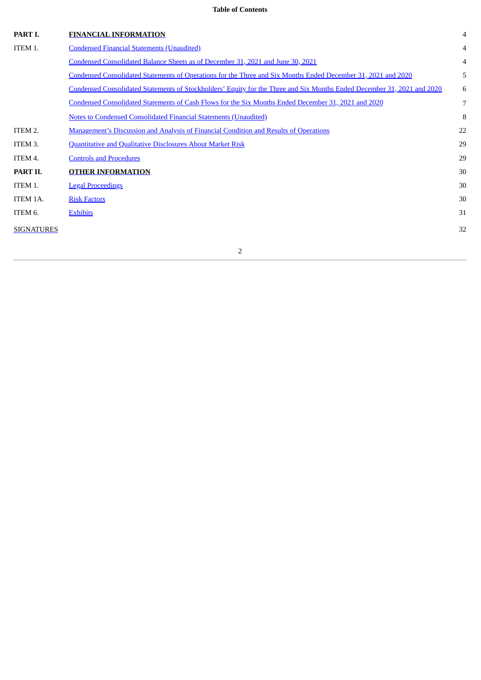# **Table of Contents**

| PART I.           | <b>FINANCIAL INFORMATION</b>                                                                                            | 4  |
|-------------------|-------------------------------------------------------------------------------------------------------------------------|----|
| ITEM 1.           | <b>Condensed Financial Statements (Unaudited)</b>                                                                       | 4  |
|                   | Condensed Consolidated Balance Sheets as of December 31, 2021 and June 30, 2021                                         | 4  |
|                   | Condensed Consolidated Statements of Operations for the Three and Six Months Ended December 31, 2021 and 2020           | 5  |
|                   | Condensed Consolidated Statements of Stockholders' Equity for the Three and Six Months Ended December 31, 2021 and 2020 | 6  |
|                   | Condensed Consolidated Statements of Cash Flows for the Six Months Ended December 31, 2021 and 2020                     | 7  |
|                   | <b>Notes to Condensed Consolidated Financial Statements (Unaudited)</b>                                                 | 8  |
| ITEM 2.           | <b>Management's Discussion and Analysis of Financial Condition and Results of Operations</b>                            | 22 |
| ITEM 3.           | <b>Quantitative and Qualitative Disclosures About Market Risk</b>                                                       | 29 |
| ITEM 4.           | <b>Controls and Procedures</b>                                                                                          | 29 |
| PART II.          | <b>OTHER INFORMATION</b>                                                                                                | 30 |
| ITEM 1.           | <b>Legal Proceedings</b>                                                                                                | 30 |
| ITEM 1A.          | <b>Risk Factors</b>                                                                                                     | 30 |
| ITEM 6.           | <b>Exhibits</b>                                                                                                         | 31 |
| <b>SIGNATURES</b> |                                                                                                                         | 32 |
|                   | 2                                                                                                                       |    |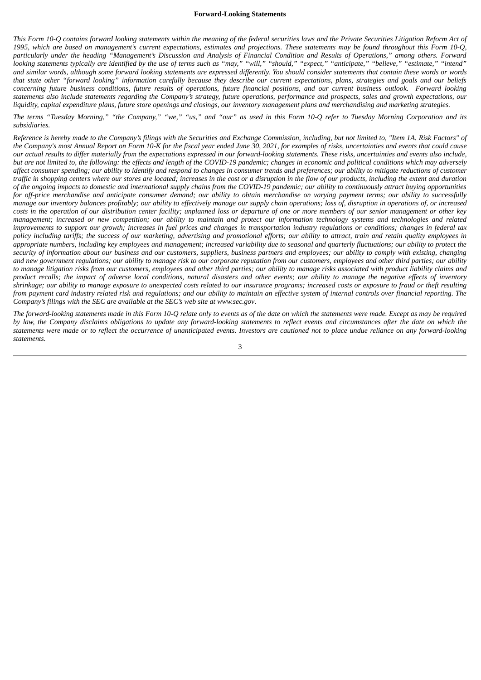#### **Forward-Looking Statements**

This Form 10-Q contains forward looking statements within the meaning of the federal securities laws and the Private Securities Litigation Reform Act of 1995, which are based on management's current expectations, estimates and projections. These statements may be found throughout this Form 10-Q, particularly under the heading "Management's Discussion and Analysis of Financial Condition and Results of Operations," among others. Forward looking statements typically are identified by the use of terms such as "may," "will," "should," "expect," "anticipate," "believe," "estimate," "intend" and similar words, although some forward looking statements are expressed differently. You should consider statements that contain these words or words that state other "forward looking" information carefully because they describe our current expectations, plans, strategies and goals and our beliefs concerning future business conditions, future results of operations, future financial positions, and our current business outlook. Forward looking statements also include statements regarding the Company's strategy, future operations, performance and prospects, sales and growth expectations, our liquidity, capital expenditure plans, future store openings and closings, our inventory management plans and merchandising and marketing strategies.

The terms "Tuesday Morning," "the Company," "we," "us," and "our" as used in this Form 10-Q refer to Tuesday Morning Corporation and its *subsidiaries.*

Reference is hereby made to the Company's filings with the Securities and Exchange Commission, including, but not limited to, "Item 1A. Risk Factors" of the Company's most Annual Report on Form 10-K for the fiscal year ended June 30, 2021, for examples of risks, uncertainties and events that could cause our actual results to differ materially from the expectations expressed in our forward-looking statements. These risks, uncertainties and events also include, but are not limited to, the following: the effects and length of the COVID-19 pandemic; changes in economic and political conditions which may adversely affect consumer spending; our ability to identify and respond to changes in consumer trends and preferences; our ability to mitigate reductions of customer traffic in shopping centers where our stores are located; increases in the cost or a disruption in the flow of our products, including the extent and duration of the ongoing impacts to domestic and international supply chains from the COVID-19 pandemic; our ability to continuously attract buying opportunities for off-price merchandise and anticipate consumer demand; our ability to obtain merchandise on varying payment terms; our ability to successfully manage our inventory balances profitably; our ability to effectively manage our supply chain operations; loss of, disruption in operations of, or increased costs in the operation of our distribution center facility; unplanned loss or departure of one or more members of our senior management or other key management; increased or new competition; our ability to maintain and protect our information technology systems and technologies and related improvements to support our growth; increases in fuel prices and changes in transportation industry regulations or conditions; changes in federal tax policy including tariffs; the success of our marketing, advertising and promotional efforts; our ability to attract, train and retain quality emplovees in appropriate numbers, including key employees and management; increased variability due to seasonal and quarterly fluctuations; our ability to protect the security of information about our business and our customers, suppliers, business partners and employees; our ability to comply with existing, changing and new government regulations; our ability to manage risk to our corporate reputation from our customers, employees and other third parties; our ability to manage litigation risks from our customers, employees and other third parties; our ability to manage risks associated with product liability claims and product recalls; the impact of adverse local conditions, natural disasters and other events; our ability to manage the negative effects of inventory shrinkage; our ability to manage exposure to unexpected costs related to our insurance programs; increased costs or exposure to fraud or theft resulting from payment card industry related risk and requiations; and our ability to maintain an effective system of internal controls over financial reporting. The *Company's filings with the SEC are available at the SEC's web site at www.sec.gov.*

The forward-looking statements made in this Form 10-Q relate only to events as of the date on which the statements were made. Except as may be required by law, the Company disclaims obligations to update any forward-looking statements to reflect events and circumstances after the date on which the statements were made or to reflect the occurrence of unanticipated events. Investors are cautioned not to place undue reliance on any forward-looking *statements.*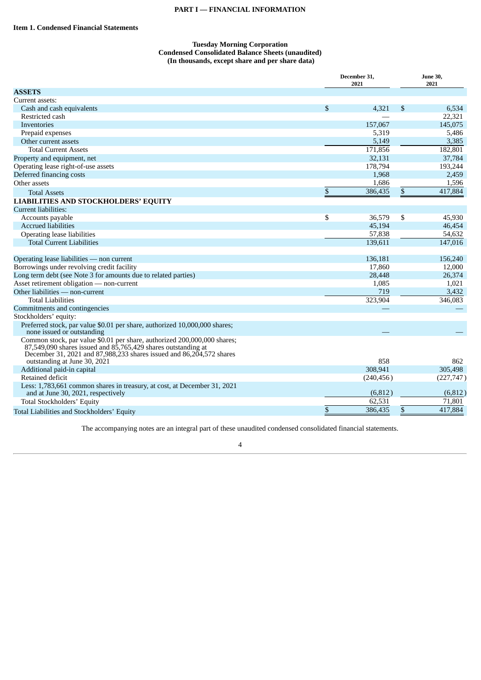## **PART I — FINANCIAL INFORMATION**

#### **Tuesday Morning Corporation Condensed Consolidated Balance Sheets (unaudited) (In thousands, except share and per share data)**

<span id="page-3-2"></span><span id="page-3-1"></span><span id="page-3-0"></span>

|                                                                                                                                                                                                                                                   |      | December 31.<br>2021 | <b>June 30,</b><br>2021 |            |  |
|---------------------------------------------------------------------------------------------------------------------------------------------------------------------------------------------------------------------------------------------------|------|----------------------|-------------------------|------------|--|
| <b>ASSETS</b>                                                                                                                                                                                                                                     |      |                      |                         |            |  |
| Current assets:                                                                                                                                                                                                                                   |      |                      |                         |            |  |
| Cash and cash equivalents                                                                                                                                                                                                                         | \$   | 4,321                | \$                      | 6,534      |  |
| Restricted cash                                                                                                                                                                                                                                   |      |                      |                         | 22,321     |  |
| Inventories                                                                                                                                                                                                                                       |      | 157,067              |                         | 145,075    |  |
| Prepaid expenses                                                                                                                                                                                                                                  |      | 5,319                |                         | 5,486      |  |
| Other current assets                                                                                                                                                                                                                              |      | 5,149                |                         | 3,385      |  |
| <b>Total Current Assets</b>                                                                                                                                                                                                                       |      | 171,856              |                         | 182,801    |  |
| Property and equipment, net                                                                                                                                                                                                                       |      | 32,131               |                         | 37,784     |  |
| Operating lease right-of-use assets                                                                                                                                                                                                               |      | 178,794              |                         | 193,244    |  |
| Deferred financing costs                                                                                                                                                                                                                          |      | 1,968                |                         | 2,459      |  |
| Other assets                                                                                                                                                                                                                                      |      | 1,686                |                         | 1,596      |  |
| <b>Total Assets</b>                                                                                                                                                                                                                               | $\$$ | 386,435              | \$                      | 417,884    |  |
| <b>LIABILITIES AND STOCKHOLDERS' EQUITY</b>                                                                                                                                                                                                       |      |                      |                         |            |  |
| <b>Current liabilities:</b>                                                                                                                                                                                                                       |      |                      |                         |            |  |
| Accounts payable                                                                                                                                                                                                                                  | \$   | 36,579               | \$                      | 45,930     |  |
| <b>Accrued liabilities</b>                                                                                                                                                                                                                        |      | 45,194               |                         | 46,454     |  |
| Operating lease liabilities                                                                                                                                                                                                                       |      | 57,838               |                         | 54,632     |  |
| <b>Total Current Liabilities</b>                                                                                                                                                                                                                  |      | 139,611              |                         | 147,016    |  |
|                                                                                                                                                                                                                                                   |      |                      |                         |            |  |
| Operating lease liabilities - non current                                                                                                                                                                                                         |      | 136,181              |                         | 156,240    |  |
| Borrowings under revolving credit facility                                                                                                                                                                                                        |      | 17,860               |                         | 12,000     |  |
| Long term debt (see Note 3 for amounts due to related parties)                                                                                                                                                                                    |      | 28,448               |                         | 26,374     |  |
| Asset retirement obligation - non-current                                                                                                                                                                                                         |      | 1,085                |                         | 1,021      |  |
| Other liabilities - non-current                                                                                                                                                                                                                   |      | 719                  |                         | 3,432      |  |
| <b>Total Liabilities</b>                                                                                                                                                                                                                          |      | 323,904              |                         | 346,083    |  |
| Commitments and contingencies                                                                                                                                                                                                                     |      |                      |                         |            |  |
| Stockholders' equity:                                                                                                                                                                                                                             |      |                      |                         |            |  |
| Preferred stock, par value \$0.01 per share, authorized 10,000,000 shares;<br>none issued or outstanding                                                                                                                                          |      |                      |                         |            |  |
| Common stock, par value \$0.01 per share, authorized 200,000,000 shares;<br>87,549,090 shares issued and 85,765,429 shares outstanding at<br>December 31, 2021 and 87,988,233 shares issued and 86,204,572 shares<br>outstanding at June 30, 2021 |      | 858                  |                         | 862        |  |
| Additional paid-in capital                                                                                                                                                                                                                        |      | 308,941              |                         | 305,498    |  |
| Retained deficit                                                                                                                                                                                                                                  |      | (240, 456)           |                         | (227, 747) |  |
| Less: 1,783,661 common shares in treasury, at cost, at December 31, 2021                                                                                                                                                                          |      |                      |                         |            |  |
| and at June 30, 2021, respectively                                                                                                                                                                                                                |      | (6,812)              |                         | (6,812)    |  |
| Total Stockholders' Equity                                                                                                                                                                                                                        |      | 62,531               |                         | 71,801     |  |
| Total Liabilities and Stockholders' Equity                                                                                                                                                                                                        | \$   | 386,435              | \$                      | 417,884    |  |

The accompanying notes are an integral part of these unaudited condensed consolidated financial statements.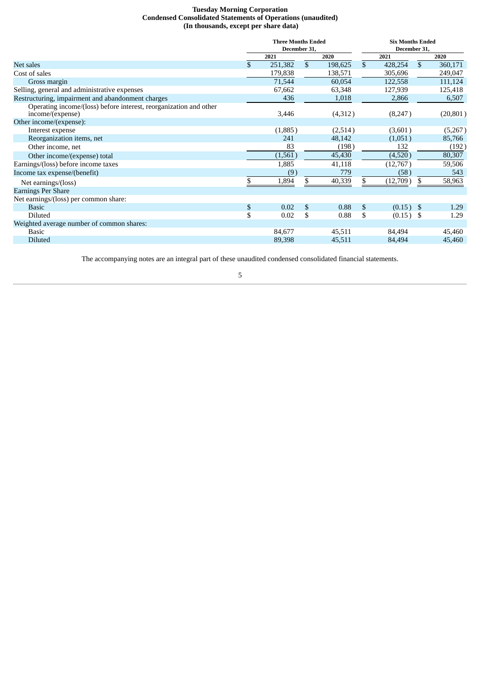## **Tuesday Morning Corporation Condensed Consolidated Statements of Operations (unaudited) (In thousands, except per share data)**

<span id="page-4-0"></span>

| <b>Three Months Ended</b> |          |              |         |              | <b>Six Months Ended</b><br>December 31, |    |                            |  |
|---------------------------|----------|--------------|---------|--------------|-----------------------------------------|----|----------------------------|--|
|                           | 2021     |              | 2020    |              | 2021                                    |    | 2020                       |  |
| \$                        | 251,382  | $\mathbf{s}$ | 198,625 | $\mathbb{S}$ | 428,254                                 | \$ | 360,171                    |  |
|                           | 179,838  |              | 138,571 |              | 305,696                                 |    | 249,047                    |  |
|                           | 71,544   |              | 60,054  |              | 122,558                                 |    | 111,124                    |  |
|                           | 67,662   |              | 63,348  |              | 127,939                                 |    | 125,418                    |  |
|                           | 436      |              | 1,018   |              | 2,866                                   |    | 6,507                      |  |
|                           | 3,446    |              | (4,312) |              | (8,247)                                 |    | (20, 801)                  |  |
|                           |          |              |         |              |                                         |    |                            |  |
|                           | (1,885)  |              | (2,514) |              | (3,601)                                 |    | (5,267)                    |  |
|                           | 241      |              | 48,142  |              | (1,051)                                 |    | 85,766                     |  |
|                           | 83       |              | (198)   |              | 132                                     |    | (192)                      |  |
|                           | (1, 561) |              | 45,430  |              | (4,520)                                 |    | 80,307                     |  |
|                           | 1,885    |              | 41,118  |              | (12,767)                                |    | 59,506                     |  |
|                           | (9)      |              | 779     |              | (58)                                    |    | 543                        |  |
|                           | 1,894    | S            | 40,339  |              | (12,709)                                | \$ | 58,963                     |  |
|                           |          |              |         |              |                                         |    |                            |  |
|                           |          |              |         |              |                                         |    |                            |  |
| \$                        | 0.02     | \$           | 0.88    | \$           |                                         |    | 1.29                       |  |
| \$                        | 0.02     | \$           | 0.88    | \$           |                                         |    | 1.29                       |  |
|                           |          |              |         |              |                                         |    |                            |  |
|                           | 84,677   |              | 45,511  |              | 84,494                                  |    | 45,460                     |  |
|                           | 89,398   |              | 45,511  |              | 84,494                                  |    | 45,460                     |  |
|                           |          |              |         | December 31, |                                         |    | $(0.15)$ \$<br>$(0.15)$ \$ |  |

The accompanying notes are an integral part of these unaudited condensed consolidated financial statements.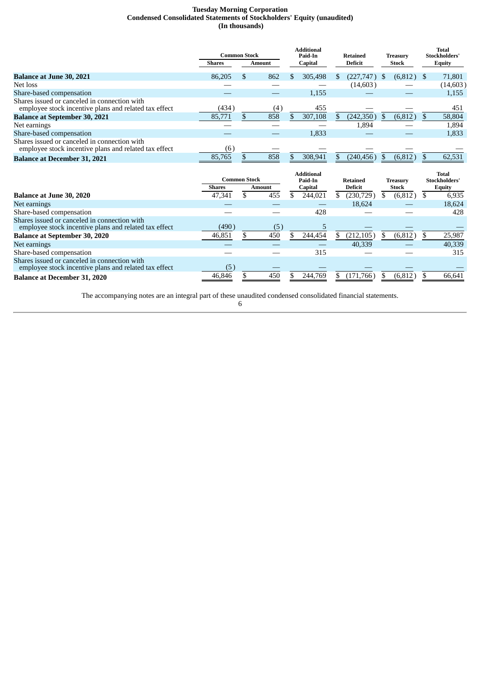## **Tuesday Morning Corporation Condensed Consolidated Statements of Stockholders' Equity (unaudited) (In thousands)**

<span id="page-5-0"></span>

|                                                                                                                                   | <b>Common Stock</b> |                     | <b>Additional</b><br>Paid-In<br><b>Retained</b> |     |                                         | <b>Treasury</b> |                                   | <b>Total</b><br><b>Stockholders</b> |                                 |              |                                         |
|-----------------------------------------------------------------------------------------------------------------------------------|---------------------|---------------------|-------------------------------------------------|-----|-----------------------------------------|-----------------|-----------------------------------|-------------------------------------|---------------------------------|--------------|-----------------------------------------|
|                                                                                                                                   | <b>Shares</b>       |                     | <b>Amount</b>                                   |     | Capital                                 |                 | <b>Deficit</b>                    |                                     | <b>Stock</b>                    |              | <b>Equity</b>                           |
| <b>Balance at June 30, 2021</b>                                                                                                   | 86,205              | \$                  | 862                                             |     | 305,498                                 | \$              | (227,747)                         | \$                                  | $(6,812)$ \$                    |              | 71,801                                  |
| Net loss                                                                                                                          |                     |                     |                                                 |     |                                         |                 | (14,603)                          |                                     |                                 |              | (14,603)                                |
| Share-based compensation                                                                                                          |                     |                     |                                                 |     | 1,155                                   |                 |                                   |                                     |                                 |              | 1,155                                   |
| Shares issued or canceled in connection with<br>employee stock incentive plans and related tax effect                             | (434)               |                     | (4)                                             |     | 455                                     |                 |                                   |                                     |                                 |              | 451                                     |
| <b>Balance at September 30, 2021</b>                                                                                              | 85,771              | \$                  | 858                                             | \$. | 307,108                                 | \$              | (242, 350)                        | $\mathbb{S}$                        | (6, 812)                        | $\mathbb{S}$ | 58,804                                  |
| Net earnings                                                                                                                      |                     |                     |                                                 |     |                                         |                 | 1,894                             |                                     |                                 |              | 1,894                                   |
| Share-based compensation                                                                                                          |                     |                     |                                                 |     | 1,833                                   |                 |                                   |                                     |                                 |              | 1,833                                   |
| Shares issued or canceled in connection with<br>employee stock incentive plans and related tax effect                             | (6)                 |                     |                                                 |     |                                         |                 |                                   |                                     |                                 |              |                                         |
| <b>Balance at December 31, 2021</b>                                                                                               | 85,765              | \$                  | 858                                             | \$  | 308,941                                 | \$              | (240, 456)                        | \$                                  | (6, 812)                        | $\mathbb{S}$ | 62,531                                  |
|                                                                                                                                   | <b>Shares</b>       | <b>Common Stock</b> | <b>Amount</b>                                   |     | <b>Additional</b><br>Paid-In<br>Capital |                 | <b>Retained</b><br><b>Deficit</b> |                                     | <b>Treasury</b><br><b>Stock</b> |              | <b>Total</b><br>Stockholders'<br>Equity |
| <b>Balance at June 30, 2020</b>                                                                                                   | 47,341              | \$                  | 455                                             | \$  | 244,021                                 | \$              | (230, 729)                        | \$                                  | (6,812)                         | - \$         | 6,935                                   |
| Net earnings                                                                                                                      |                     |                     |                                                 |     | 428                                     |                 | 18,624                            |                                     |                                 |              | 18,624                                  |
| Share-based compensation<br>Shares issued or canceled in connection with<br>employee stock incentive plans and related tax effect | (490)               |                     | (5)                                             |     | 5                                       |                 |                                   |                                     |                                 |              | 428                                     |
| <b>Balance at September 30, 2020</b>                                                                                              | 46,851              | \$                  | 450                                             | \$  | 244,454                                 | \$              | (212, 105)                        | \$                                  | (6, 812)                        | \$           | 25,987                                  |
| Net earnings                                                                                                                      |                     |                     |                                                 |     |                                         |                 | 40,339                            |                                     |                                 |              | 40,339                                  |
| Share-based compensation                                                                                                          |                     |                     |                                                 |     | 315                                     |                 |                                   |                                     |                                 |              | 315                                     |
| Shares issued or canceled in connection with<br>employee stock incentive plans and related tax effect                             | (5)                 |                     |                                                 |     |                                         |                 |                                   |                                     |                                 |              |                                         |
| <b>Balance at December 31, 2020</b>                                                                                               | 46,846              |                     | 450                                             |     | 244,769                                 | \$              | (171,766)                         | \$                                  | (6, 812)                        |              | 66,641                                  |

The accompanying notes are an integral part of these unaudited condensed consolidated financial statements.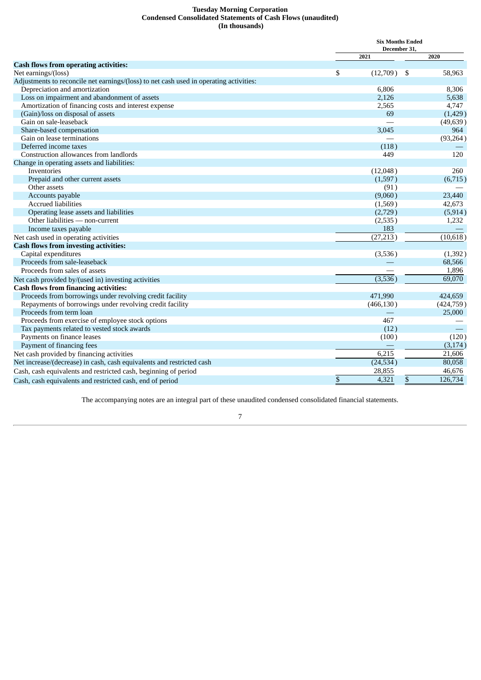## **Tuesday Morning Corporation Condensed Consolidated Statements of Cash Flows (unaudited) (In thousands)**

<span id="page-6-0"></span>

| 2021<br>2020<br><b>Cash flows from operating activities:</b>                           |            |
|----------------------------------------------------------------------------------------|------------|
|                                                                                        |            |
|                                                                                        |            |
| \$<br>Net earnings/(loss)<br>(12,709)<br>-\$                                           | 58,963     |
| Adjustments to reconcile net earnings/(loss) to net cash used in operating activities: |            |
| Depreciation and amortization<br>6,806                                                 | 8,306      |
| 2,126<br>Loss on impairment and abandonment of assets                                  | 5,638      |
| Amortization of financing costs and interest expense<br>2,565                          | 4,747      |
| (Gain)/loss on disposal of assets<br>69                                                | (1,429)    |
| Gain on sale-leaseback                                                                 | (49, 639)  |
| Share-based compensation<br>3,045                                                      | 964        |
| Gain on lease terminations                                                             | (93, 264)  |
| Deferred income taxes<br>(118)                                                         |            |
| Construction allowances from landlords<br>449                                          | 120        |
| Change in operating assets and liabilities:                                            |            |
| Inventories<br>(12,048)                                                                | 260        |
| Prepaid and other current assets<br>(1,597)                                            | (6,715)    |
| Other assets<br>(91)                                                                   |            |
| Accounts payable<br>(9,060)                                                            | 23,440     |
| <b>Accrued liabilities</b><br>(1,569)                                                  | 42,673     |
| Operating lease assets and liabilities<br>(2,729)                                      | (5, 914)   |
| Other liabilities - non-current<br>(2,535)                                             | 1,232      |
| 183<br>Income taxes payable                                                            |            |
| (27, 213)<br>Net cash used in operating activities                                     | (10,618)   |
| <b>Cash flows from investing activities:</b>                                           |            |
| Capital expenditures<br>(3,536)                                                        | (1, 392)   |
| Proceeds from sale-leaseback                                                           | 68,566     |
| Proceeds from sales of assets                                                          | 1,896      |
| (3,536)<br>Net cash provided by/(used in) investing activities                         | 69,070     |
| <b>Cash flows from financing activities:</b>                                           |            |
| Proceeds from borrowings under revolving credit facility<br>471,990                    | 424,659    |
| Repayments of borrowings under revolving credit facility<br>(466, 130)                 | (424, 759) |
| Proceeds from term loan                                                                | 25,000     |
| Proceeds from exercise of employee stock options<br>467                                |            |
| (12)<br>Tax payments related to vested stock awards                                    |            |
| Payments on finance leases<br>(100)                                                    | (120)      |
| Payment of financing fees                                                              | (3,174)    |
| 6,215<br>Net cash provided by financing activities                                     | 21,606     |
| (24, 534)<br>Net increase/(decrease) in cash, cash equivalents and restricted cash     | 80,058     |
| 28,855<br>Cash, cash equivalents and restricted cash, beginning of period              | 46,676     |
| \$<br>4,321<br>\$<br>Cash, cash equivalents and restricted cash, end of period         | 126,734    |

The accompanying notes are an integral part of these unaudited condensed consolidated financial statements.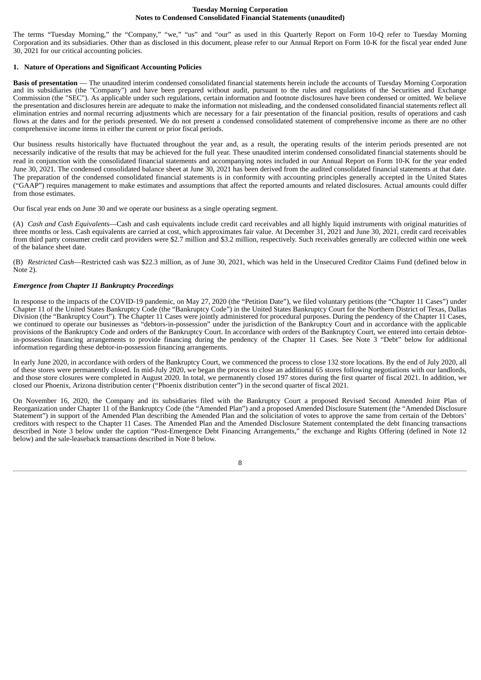#### **Tuesday Morning Corporation Notes to Condensed Consolidated Financial Statements (unaudited)**

<span id="page-7-0"></span>The terms "Tuesday Morning," the "Company," "we," "us" and "our" as used in this Quarterly Report on Form 10-Q refer to Tuesday Morning Corporation and its subsidiaries. Other than as disclosed in this document, please refer to our Annual Report on Form 10-K for the fiscal year ended June 30, 2021 for our critical accounting policies.

## **1. Nature of Operations and Significant Accounting Policies**

**Basis of presentation** — The unaudited interim condensed consolidated financial statements herein include the accounts of Tuesday Morning Corporation and its subsidiaries (the "Company") and have been prepared without audit, pursuant to the rules and regulations of the Securities and Exchange Commission (the "SEC"). As applicable under such regulations, certain information and footnote disclosures have been condensed or omitted. We believe the presentation and disclosures herein are adequate to make the information not misleading, and the condensed consolidated financial statements reflect all elimination entries and normal recurring adjustments which are necessary for a fair presentation of the financial position, results of operations and cash flows at the dates and for the periods presented. We do not present a condensed consolidated statement of comprehensive income as there are no other comprehensive income items in either the current or prior fiscal periods.

Our business results historically have fluctuated throughout the year and, as a result, the operating results of the interim periods presented are not necessarily indicative of the results that may be achieved for the full year. These unaudited interim condensed consolidated financial statements should be read in conjunction with the consolidated financial statements and accompanying notes included in our Annual Report on Form 10-K for the year ended June 30, 2021. The condensed consolidated balance sheet at June 30, 2021 has been derived from the audited consolidated financial statements at that date. The preparation of the condensed consolidated financial statements is in conformity with accounting principles generally accepted in the United States ("GAAP") requires management to make estimates and assumptions that affect the reported amounts and related disclosures. Actual amounts could differ from those estimates.

Our fiscal year ends on June 30 and we operate our business as a single operating segment.

(A) *Cash and Cash Equivalents*—Cash and cash equivalents include credit card receivables and all highly liquid instruments with original maturities of three months or less. Cash equivalents are carried at cost, which approximates fair value. At December 31, 2021 and June 30, 2021, credit card receivables from third party consumer credit card providers were \$2.7 million and \$3.2 million, respectively. Such receivables generally are collected within one week of the balance sheet date.

(B) *Restricted Cash*—Restricted cash was \$22.3 million, as of June 30, 2021, which was held in the Unsecured Creditor Claims Fund (defined below in Note 2).

## *Emergence from Chapter 11 Bankruptcy Proceedings*

In response to the impacts of the COVID-19 pandemic, on May 27, 2020 (the "Petition Date"), we filed voluntary petitions (the "Chapter 11 Cases") under Chapter 11 of the United States Bankruptcy Code (the "Bankruptcy Code") in the United States Bankruptcy Court for the Northern District of Texas, Dallas Division (the "Bankruptcy Court"). The Chapter 11 Cases were jointly administered for procedural purposes. During the pendency of the Chapter 11 Cases, we continued to operate our businesses as "debtors-in-possession" under the jurisdiction of the Bankruptcy Court and in accordance with the applicable provisions of the Bankruptcy Code and orders of the Bankruptcy Court. In accordance with orders of the Bankruptcy Court, we entered into certain debtorin-possession financing arrangements to provide financing during the pendency of the Chapter 11 Cases. See Note 3 "Debt" below for additional information regarding these debtor-in-possession financing arrangements.

In early June 2020, in accordance with orders of the Bankruptcy Court, we commenced the process to close 132 store locations. By the end of July 2020, all of these stores were permanently closed. In mid-July 2020, we began the process to close an additional 65 stores following negotiations with our landlords, and those store closures were completed in August 2020. In total, we permanently closed 197 stores during the first quarter of fiscal 2021. In addition, we closed our Phoenix, Arizona distribution center ("Phoenix distribution center") in the second quarter of fiscal 2021.

On November 16, 2020, the Company and its subsidiaries filed with the Bankruptcy Court a proposed Revised Second Amended Joint Plan of Reorganization under Chapter 11 of the Bankruptcy Code (the "Amended Plan") and a proposed Amended Disclosure Statement (the "Amended Disclosure Statement") in support of the Amended Plan describing the Amended Plan and the solicitation of votes to approve the same from certain of the Debtors' creditors with respect to the Chapter 11 Cases. The Amended Plan and the Amended Disclosure Statement contemplated the debt financing transactions described in Note 3 below under the caption "Post-Emergence Debt Financing Arrangements," the exchange and Rights Offering (defined in Note 12 below) and the sale-leaseback transactions described in Note 8 below.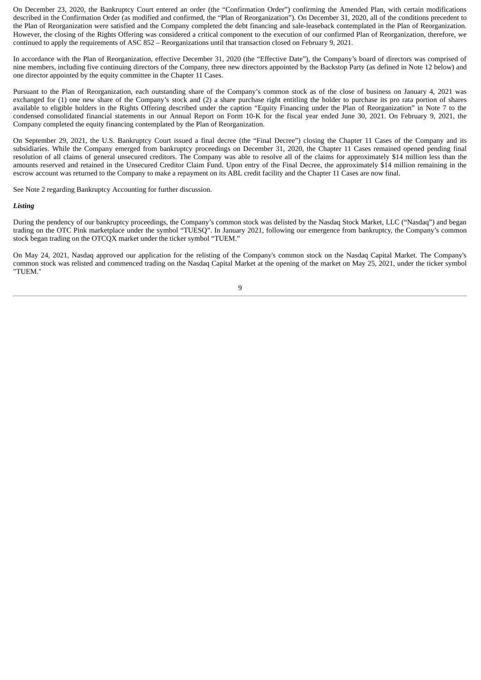On December 23, 2020, the Bankruptcy Court entered an order (the "Confirmation Order") confirming the Amended Plan, with certain modifications described in the Confirmation Order (as modified and confirmed, the "Plan of Reorganization"). On December 31, 2020, all of the conditions precedent to the Plan of Reorganization were satisfied and the Company completed the debt financing and sale-leaseback contemplated in the Plan of Reorganization. However, the closing of the Rights Offering was considered a critical component to the execution of our confirmed Plan of Reorganization, therefore, we continued to apply the requirements of ASC 852 – Reorganizations until that transaction closed on February 9, 2021.

In accordance with the Plan of Reorganization, effective December 31, 2020 (the "Effective Date"), the Company's board of directors was comprised of nine members, including five continuing directors of the Company, three new directors appointed by the Backstop Party (as defined in Note 12 below) and one director appointed by the equity committee in the Chapter 11 Cases.

Pursuant to the Plan of Reorganization, each outstanding share of the Company's common stock as of the close of business on January 4, 2021 was exchanged for (1) one new share of the Company's stock and (2) a share purchase right entitling the holder to purchase its pro rata portion of shares available to eligible holders in the Rights Offering described under the caption "Equity Financing under the Plan of Reorganization" in Note 7 to the condensed consolidated financial statements in our Annual Report on Form 10-K for the fiscal year ended June 30, 2021. On February 9, 2021, the Company completed the equity financing contemplated by the Plan of Reorganization.

On September 29, 2021, the U.S. Bankruptcy Court issued a final decree (the "Final Decree") closing the Chapter 11 Cases of the Company and its subsidiaries. While the Company emerged from bankruptcy proceedings on December 31, 2020, the Chapter 11 Cases remained opened pending final resolution of all claims of general unsecured creditors. The Company was able to resolve all of the claims for approximately \$14 million less than the amounts reserved and retained in the Unsecured Creditor Claim Fund. Upon entry of the Final Decree, the approximately \$14 million remaining in the escrow account was returned to the Company to make a repayment on its ABL credit facility and the Chapter 11 Cases are now final.

See Note 2 regarding Bankruptcy Accounting for further discussion.

#### *Listing*

During the pendency of our bankruptcy proceedings, the Company's common stock was delisted by the Nasdaq Stock Market, LLC ("Nasdaq") and began trading on the OTC Pink marketplace under the symbol "TUESQ". In January 2021, following our emergence from bankruptcy, the Company's common stock began trading on the OTCQX market under the ticker symbol "TUEM."

On May 24, 2021, Nasdaq approved our application for the relisting of the Company's common stock on the Nasdaq Capital Market. The Company's common stock was relisted and commenced trading on the Nasdaq Capital Market at the opening of the market on May 25, 2021, under the ticker symbol "TUEM."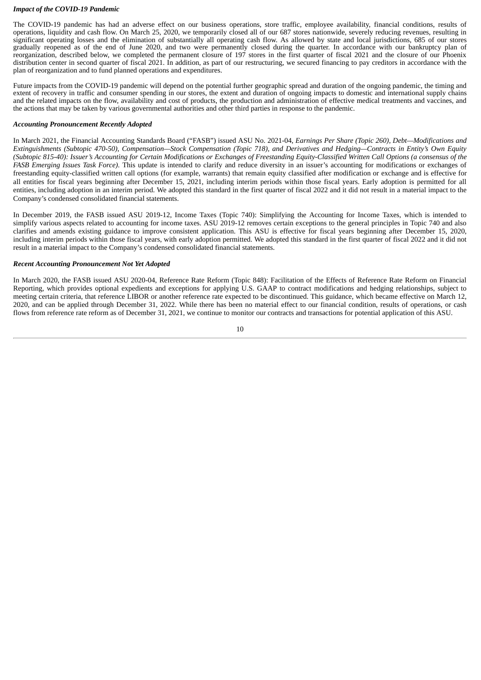#### *Impact of the COVID-19 Pandemic*

The COVID-19 pandemic has had an adverse effect on our business operations, store traffic, employee availability, financial conditions, results of operations, liquidity and cash flow. On March 25, 2020, we temporarily closed all of our 687 stores nationwide, severely reducing revenues, resulting in significant operating losses and the elimination of substantially all operating cash flow. As allowed by state and local jurisdictions, 685 of our stores gradually reopened as of the end of June 2020, and two were permanently closed during the quarter. In accordance with our bankruptcy plan of reorganization, described below, we completed the permanent closure of 197 stores in the first quarter of fiscal 2021 and the closure of our Phoenix distribution center in second quarter of fiscal 2021. In addition, as part of our restructuring, we secured financing to pay creditors in accordance with the plan of reorganization and to fund planned operations and expenditures.

Future impacts from the COVID-19 pandemic will depend on the potential further geographic spread and duration of the ongoing pandemic, the timing and extent of recovery in traffic and consumer spending in our stores, the extent and duration of ongoing impacts to domestic and international supply chains and the related impacts on the flow, availability and cost of products, the production and administration of effective medical treatments and vaccines, and the actions that may be taken by various governmental authorities and other third parties in response to the pandemic.

#### *Accounting Pronouncement Recently Adopted*

In March 2021, the Financial Accounting Standards Board ("FASB") issued ASU No. 2021-04, *Earnings Per Share (Topic 260), Debt—Modifications and* Extinguishments (Subtopic 470-50), Compensation-Stock Compensation (Topic 718), and Derivatives and Hedging-Contracts in Entity's Own Equity (Subtopic 815-40): Issuer's Accounting for Certain Modifications or Exchanges of Freestanding Equity-Classified Written Call Options (a consensus of the *FASB Emerging Issues Task Force)*. This update is intended to clarify and reduce diversity in an issuer's accounting for modifications or exchanges of freestanding equity-classified written call options (for example, warrants) that remain equity classified after modification or exchange and is effective for all entities for fiscal years beginning after December 15, 2021, including interim periods within those fiscal years. Early adoption is permitted for all entities, including adoption in an interim period. We adopted this standard in the first quarter of fiscal 2022 and it did not result in a material impact to the Company's condensed consolidated financial statements.

In December 2019, the FASB issued ASU 2019-12, Income Taxes (Topic 740): Simplifying the Accounting for Income Taxes, which is intended to simplify various aspects related to accounting for income taxes. ASU 2019-12 removes certain exceptions to the general principles in Topic 740 and also clarifies and amends existing guidance to improve consistent application. This ASU is effective for fiscal years beginning after December 15, 2020, including interim periods within those fiscal years, with early adoption permitted. We adopted this standard in the first quarter of fiscal 2022 and it did not result in a material impact to the Company's condensed consolidated financial statements.

## *Recent Accounting Pronouncement Not Yet Adopted*

In March 2020, the FASB issued ASU 2020-04, Reference Rate Reform (Topic 848): Facilitation of the Effects of Reference Rate Reform on Financial Reporting, which provides optional expedients and exceptions for applying U.S. GAAP to contract modifications and hedging relationships, subject to meeting certain criteria, that reference LIBOR or another reference rate expected to be discontinued. This guidance, which became effective on March 12, 2020, and can be applied through December 31, 2022. While there has been no material effect to our financial condition, results of operations, or cash flows from reference rate reform as of December 31, 2021, we continue to monitor our contracts and transactions for potential application of this ASU.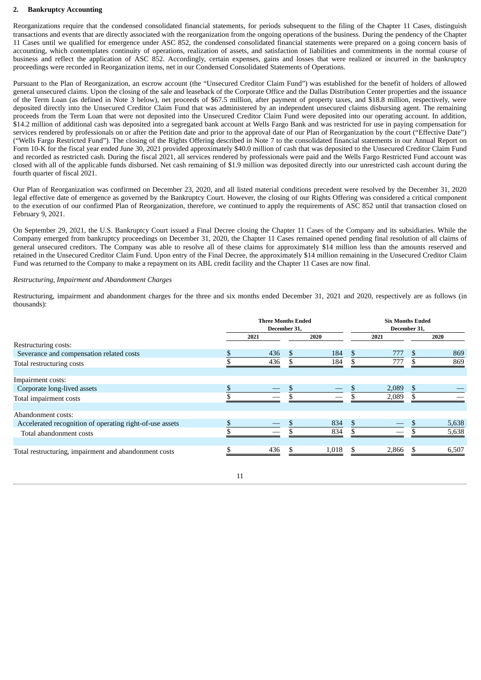#### **2. Bankruptcy Accounting**

Reorganizations require that the condensed consolidated financial statements, for periods subsequent to the filing of the Chapter 11 Cases, distinguish transactions and events that are directly associated with the reorganization from the ongoing operations of the business. During the pendency of the Chapter 11 Cases until we qualified for emergence under ASC 852, the condensed consolidated financial statements were prepared on a going concern basis of accounting, which contemplates continuity of operations, realization of assets, and satisfaction of liabilities and commitments in the normal course of business and reflect the application of ASC 852. Accordingly, certain expenses, gains and losses that were realized or incurred in the bankruptcy proceedings were recorded in Reorganization items, net in our Condensed Consolidated Statements of Operations.

Pursuant to the Plan of Reorganization, an escrow account (the "Unsecured Creditor Claim Fund") was established for the benefit of holders of allowed general unsecured claims. Upon the closing of the sale and leaseback of the Corporate Office and the Dallas Distribution Center properties and the issuance of the Term Loan (as defined in Note 3 below), net proceeds of \$67.5 million, after payment of property taxes, and \$18.8 million, respectively, were deposited directly into the Unsecured Creditor Claim Fund that was administered by an independent unsecured claims disbursing agent. The remaining proceeds from the Term Loan that were not deposited into the Unsecured Creditor Claim Fund were deposited into our operating account. In addition, \$14.2 million of additional cash was deposited into a segregated bank account at Wells Fargo Bank and was restricted for use in paying compensation for services rendered by professionals on or after the Petition date and prior to the approval date of our Plan of Reorganization by the court ("Effective Date") ("Wells Fargo Restricted Fund"). The closing of the Rights Offering described in Note 7 to the consolidated financial statements in our Annual Report on Form 10-K for the fiscal year ended June 30, 2021 provided approximately \$40.0 million of cash that was deposited to the Unsecured Creditor Claim Fund and recorded as restricted cash. During the fiscal 2021, all services rendered by professionals were paid and the Wells Fargo Restricted Fund account was closed with all of the applicable funds disbursed. Net cash remaining of \$1.9 million was deposited directly into our unrestricted cash account during the fourth quarter of fiscal 2021.

Our Plan of Reorganization was confirmed on December 23, 2020, and all listed material conditions precedent were resolved by the December 31, 2020 legal effective date of emergence as governed by the Bankruptcy Court. However, the closing of our Rights Offering was considered a critical component to the execution of our confirmed Plan of Reorganization, therefore, we continued to apply the requirements of ASC 852 until that transaction closed on February 9, 2021.

On September 29, 2021, the U.S. Bankruptcy Court issued a Final Decree closing the Chapter 11 Cases of the Company and its subsidiaries. While the Company emerged from bankruptcy proceedings on December 31, 2020, the Chapter 11 Cases remained opened pending final resolution of all claims of general unsecured creditors. The Company was able to resolve all of these claims for approximately \$14 million less than the amounts reserved and retained in the Unsecured Creditor Claim Fund. Upon entry of the Final Decree, the approximately \$14 million remaining in the Unsecured Creditor Claim Fund was returned to the Company to make a repayment on its ABL credit facility and the Chapter 11 Cases are now final.

#### *Restructuring, Impairment and Abandonment Charges*

Restructuring, impairment and abandonment charges for the three and six months ended December 31, 2021 and 2020, respectively are as follows (in thousands):

|                                                          | <b>Three Months Ended</b><br>December 31, |     |       |     | <b>Six Months Ended</b><br>December 31, |    |       |  |  |
|----------------------------------------------------------|-------------------------------------------|-----|-------|-----|-----------------------------------------|----|-------|--|--|
|                                                          | 2021                                      |     | 2020  |     | 2021                                    |    | 2020  |  |  |
| Restructuring costs:                                     |                                           |     |       |     |                                         |    |       |  |  |
| Severance and compensation related costs                 | 436                                       |     | 184   |     | 777                                     |    | 869   |  |  |
| Total restructuring costs                                | 436                                       |     | 184   |     | 777                                     |    | 869   |  |  |
| Impairment costs:                                        |                                           |     |       |     |                                         |    |       |  |  |
| Corporate long-lived assets                              |                                           |     |       |     | 2,089                                   |    |       |  |  |
| Total impairment costs                                   |                                           |     |       |     | 2,089                                   |    |       |  |  |
| Abandonment costs:                                       |                                           |     |       |     |                                         |    |       |  |  |
| Accelerated recognition of operating right-of-use assets |                                           |     | 834   | -S  |                                         |    | 5,638 |  |  |
| Total abandonment costs                                  |                                           |     | 834   |     |                                         |    | 5,638 |  |  |
| Total restructuring, impairment and abandonment costs    | 436                                       | \$. | 1,018 | \$. | 2,866                                   | £. | 6,507 |  |  |
|                                                          |                                           |     |       |     |                                         |    |       |  |  |

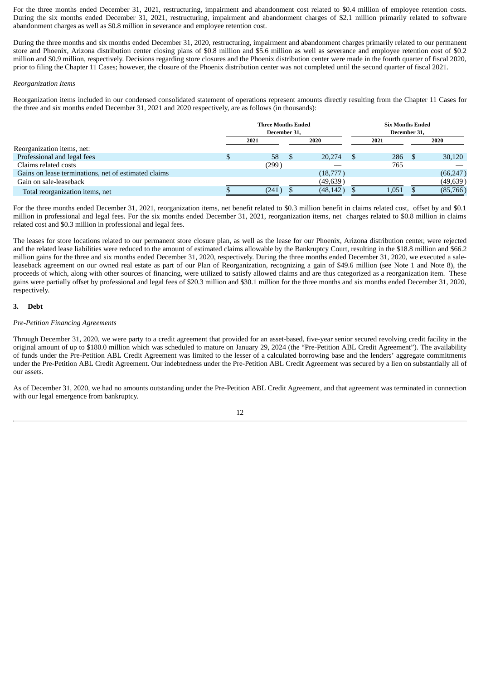For the three months ended December 31, 2021, restructuring, impairment and abandonment cost related to \$0.4 million of employee retention costs. During the six months ended December 31, 2021, restructuring, impairment and abandonment charges of \$2.1 million primarily related to software abandonment charges as well as \$0.8 million in severance and employee retention cost.

During the three months and six months ended December 31, 2020, restructuring, impairment and abandonment charges primarily related to our permanent store and Phoenix, Arizona distribution center closing plans of \$0.8 million and \$5.6 million as well as severance and employee retention cost of \$0.2 million and \$0.9 million, respectively. Decisions regarding store closures and the Phoenix distribution center were made in the fourth quarter of fiscal 2020, prior to filing the Chapter 11 Cases; however, the closure of the Phoenix distribution center was not completed until the second quarter of fiscal 2021.

#### *Reorganization Items*

Reorganization items included in our condensed consolidated statement of operations represent amounts directly resulting from the Chapter 11 Cases for the three and six months ended December 31, 2021 and 2020 respectively, are as follows (in thousands):

|                                                      | <b>Three Months Ended</b><br>December 31. |       |      |           |  | <b>Six Months Ended</b><br>December 31. |  |           |  |
|------------------------------------------------------|-------------------------------------------|-------|------|-----------|--|-----------------------------------------|--|-----------|--|
|                                                      |                                           | 2021  |      | 2020      |  | 2021                                    |  | 2020      |  |
| Reorganization items, net:                           |                                           |       |      |           |  |                                         |  |           |  |
| Professional and legal fees                          |                                           | 58    | - \$ | 20,274    |  | $286 \quad$ \$                          |  | 30,120    |  |
| Claims related costs                                 |                                           | (299) |      |           |  | 765                                     |  |           |  |
| Gains on lease terminations, net of estimated claims |                                           |       |      | (18,777)  |  |                                         |  | (66, 247) |  |
| Gain on sale-leaseback                               |                                           |       |      | (49, 639) |  |                                         |  | (49, 639) |  |
| Total reorganization items, net                      |                                           | (241  |      | (48, 142) |  | 1.051                                   |  | (85,766)  |  |

For the three months ended December 31, 2021, reorganization items, net benefit related to \$0.3 million benefit in claims related cost, offset by and \$0.1 million in professional and legal fees. For the six months ended December 31, 2021, reorganization items, net charges related to \$0.8 million in claims related cost and \$0.3 million in professional and legal fees.

The leases for store locations related to our permanent store closure plan, as well as the lease for our Phoenix, Arizona distribution center, were rejected and the related lease liabilities were reduced to the amount of estimated claims allowable by the Bankruptcy Court, resulting in the \$18.8 million and \$66.2 million gains for the three and six months ended December 31, 2020, respectively. During the three months ended December 31, 2020, we executed a saleleaseback agreement on our owned real estate as part of our Plan of Reorganization, recognizing a gain of \$49.6 million (see Note 1 and Note 8), the proceeds of which, along with other sources of financing, were utilized to satisfy allowed claims and are thus categorized as a reorganization item. These gains were partially offset by professional and legal fees of \$20.3 million and \$30.1 million for the three months and six months ended December 31, 2020, respectively.

## **3. Debt**

#### *Pre-Petition Financing Agreements*

Through December 31, 2020, we were party to a credit agreement that provided for an asset-based, five-year senior secured revolving credit facility in the original amount of up to \$180.0 million which was scheduled to mature on January 29, 2024 (the "Pre-Petition ABL Credit Agreement"). The availability of funds under the Pre-Petition ABL Credit Agreement was limited to the lesser of a calculated borrowing base and the lenders' aggregate commitments under the Pre-Petition ABL Credit Agreement. Our indebtedness under the Pre-Petition ABL Credit Agreement was secured by a lien on substantially all of our assets.

As of December 31, 2020, we had no amounts outstanding under the Pre-Petition ABL Credit Agreement, and that agreement was terminated in connection with our legal emergence from bankruptcy.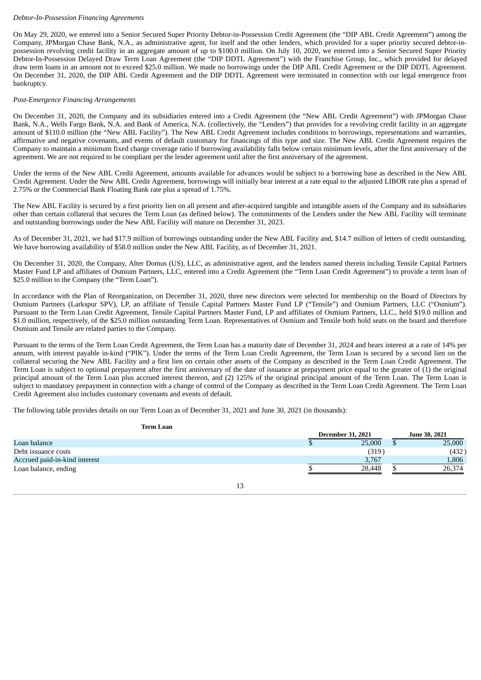#### *Debtor-In-Possession Financing Agreements*

On May 29, 2020, we entered into a Senior Secured Super Priority Debtor-in-Possession Credit Agreement (the "DIP ABL Credit Agreement") among the Company, JPMorgan Chase Bank, N.A., as administrative agent, for itself and the other lenders, which provided for a super priority secured debtor-inpossession revolving credit facility in an aggregate amount of up to \$100.0 million. On July 10, 2020, we entered into a Senior Secured Super Priority Debtor-In-Possession Delayed Draw Term Loan Agreement (the "DIP DDTL Agreement") with the Franchise Group, Inc., which provided for delayed draw term loans in an amount not to exceed \$25.0 million. We made no borrowings under the DIP ABL Credit Agreement or the DIP DDTL Agreement. On December 31, 2020, the DIP ABL Credit Agreement and the DIP DDTL Agreement were terminated in connection with our legal emergence from bankruptcy.

## *Post-Emergence Financing Arrangements*

On December 31, 2020, the Company and its subsidiaries entered into a Credit Agreement (the "New ABL Credit Agreement") with JPMorgan Chase Bank, N.A., Wells Fargo Bank, N.A. and Bank of America, N.A. (collectively, the "Lenders") that provides for a revolving credit facility in an aggregate amount of \$110.0 million (the "New ABL Facility"). The New ABL Credit Agreement includes conditions to borrowings, representations and warranties, affirmative and negative covenants, and events of default customary for financings of this type and size. The New ABL Credit Agreement requires the Company to maintain a minimum fixed charge coverage ratio if borrowing availability falls below certain minimum levels, after the first anniversary of the agreement. We are not required to be compliant per the lender agreement until after the first anniversary of the agreement.

Under the terms of the New ABL Credit Agreement, amounts available for advances would be subject to a borrowing base as described in the New ABL Credit Agreement. Under the New ABL Credit Agreement, borrowings will initially bear interest at a rate equal to the adjusted LIBOR rate plus a spread of 2.75% or the Commercial Bank Floating Bank rate plus a spread of 1.75%.

The New ABL Facility is secured by a first priority lien on all present and after-acquired tangible and intangible assets of the Company and its subsidiaries other than certain collateral that secures the Term Loan (as defined below). The commitments of the Lenders under the New ABL Facility will terminate and outstanding borrowings under the New ABL Facility will mature on December 31, 2023.

As of December 31, 2021, we had \$17.9 million of borrowings outstanding under the New ABL Facility and, \$14.7 million of letters of credit outstanding. We have borrowing availability of \$58.0 million under the New ABL Facility, as of December 31, 2021.

On December 31, 2020, the Company, Alter Domus (US), LLC, as administrative agent, and the lenders named therein including Tensile Capital Partners Master Fund LP and affiliates of Osmium Partners, LLC, entered into a Credit Agreement (the "Term Loan Credit Agreement") to provide a term loan of \$25.0 million to the Company (the "Term Loan").

In accordance with the Plan of Reorganization, on December 31, 2020, three new directors were selected for membership on the Board of Directors by Osmium Partners (Larkspur SPV), LP, an affiliate of Tensile Capital Partners Master Fund LP ("Tensile") and Osmium Partners, LLC ("Osmium"). Pursuant to the Term Loan Credit Agreement, Tensile Capital Partners Master Fund, LP and affiliates of Osmium Partners, LLC., held \$19.0 million and \$1.0 million, respectively, of the \$25.0 million outstanding Term Loan. Representatives of Osmium and Tensile both hold seats on the board and therefore Osmium and Tensile are related parties to the Company.

Pursuant to the terms of the Term Loan Credit Agreement, the Term Loan has a maturity date of December 31, 2024 and bears interest at a rate of 14% per annum, with interest payable in-kind ("PIK"). Under the terms of the Term Loan Credit Agreement, the Term Loan is secured by a second lien on the collateral securing the New ABL Facility and a first lien on certain other assets of the Company as described in the Term Loan Credit Agreement. The Term Loan is subject to optional prepayment after the first anniversary of the date of issuance at prepayment price equal to the greater of (1) the original principal amount of the Term Loan plus accrued interest thereon, and (2) 125% of the original principal amount of the Term Loan. The Term Loan is subject to mandatory prepayment in connection with a change of control of the Company as described in the Term Loan Credit Agreement. The Term Loan Credit Agreement also includes customary covenants and events of default.

The following table provides details on our Term Loan as of December 31, 2021 and June 30, 2021 (in thousands):

**Term Loan**

| TCTHI POWII                   |  |                          |               |
|-------------------------------|--|--------------------------|---------------|
|                               |  | <b>December 31, 2021</b> | June 30, 2021 |
| Loan balance                  |  | 25,000                   | 25,000        |
| Debt issuance costs           |  | (319)                    | (432)         |
| Accrued paid-in-kind interest |  | 3,767                    | 1,806         |
| Loan balance, ending          |  | 28,448                   | 26,374        |
|                               |  |                          |               |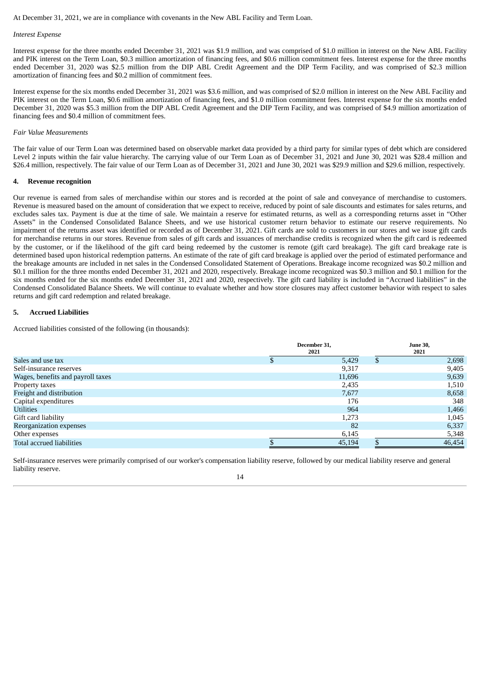At December 31, 2021, we are in compliance with covenants in the New ABL Facility and Term Loan.

#### *Interest Expense*

Interest expense for the three months ended December 31, 2021 was \$1.9 million, and was comprised of \$1.0 million in interest on the New ABL Facility and PIK interest on the Term Loan, \$0.3 million amortization of financing fees, and \$0.6 million commitment fees. Interest expense for the three months ended December 31, 2020 was \$2.5 million from the DIP ABL Credit Agreement and the DIP Term Facility, and was comprised of \$2.3 million amortization of financing fees and \$0.2 million of commitment fees.

Interest expense for the six months ended December 31, 2021 was \$3.6 million, and was comprised of \$2.0 million in interest on the New ABL Facility and PIK interest on the Term Loan, \$0.6 million amortization of financing fees, and \$1.0 million commitment fees. Interest expense for the six months ended December 31, 2020 was \$5.3 million from the DIP ABL Credit Agreement and the DIP Term Facility, and was comprised of \$4.9 million amortization of financing fees and \$0.4 million of commitment fees.

#### *Fair Value Measurements*

The fair value of our Term Loan was determined based on observable market data provided by a third party for similar types of debt which are considered Level 2 inputs within the fair value hierarchy. The carrying value of our Term Loan as of December 31, 2021 and June 30, 2021 was \$28.4 million and \$26.4 million, respectively. The fair value of our Term Loan as of December 31, 2021 and June 30, 2021 was \$29.9 million and \$29.6 million, respectively.

#### **4. Revenue recognition**

Our revenue is earned from sales of merchandise within our stores and is recorded at the point of sale and conveyance of merchandise to customers. Revenue is measured based on the amount of consideration that we expect to receive, reduced by point of sale discounts and estimates for sales returns, and excludes sales tax. Payment is due at the time of sale. We maintain a reserve for estimated returns, as well as a corresponding returns asset in "Other Assets" in the Condensed Consolidated Balance Sheets, and we use historical customer return behavior to estimate our reserve requirements. No impairment of the returns asset was identified or recorded as of December 31, 2021. Gift cards are sold to customers in our stores and we issue gift cards for merchandise returns in our stores. Revenue from sales of gift cards and issuances of merchandise credits is recognized when the gift card is redeemed by the customer, or if the likelihood of the gift card being redeemed by the customer is remote (gift card breakage). The gift card breakage rate is determined based upon historical redemption patterns. An estimate of the rate of gift card breakage is applied over the period of estimated performance and the breakage amounts are included in net sales in the Condensed Consolidated Statement of Operations. Breakage income recognized was \$0.2 million and \$0.1 million for the three months ended December 31, 2021 and 2020, respectively. Breakage income recognized was \$0.3 million and \$0.1 million for the six months ended for the six months ended December 31, 2021 and 2020, respectively. The gift card liability is included in "Accrued liabilities" in the Condensed Consolidated Balance Sheets. We will continue to evaluate whether and how store closures may affect customer behavior with respect to sales returns and gift card redemption and related breakage.

#### **5. Accrued Liabilities**

Accrued liabilities consisted of the following (in thousands):

|                                   | December 31,<br>2021 | <b>June 30,</b><br>2021 |   |        |  |
|-----------------------------------|----------------------|-------------------------|---|--------|--|
| Sales and use tax                 |                      | 5,429                   | S | 2,698  |  |
| Self-insurance reserves           |                      | 9,317                   |   | 9,405  |  |
| Wages, benefits and payroll taxes |                      | 11,696                  |   | 9,639  |  |
| Property taxes                    |                      | 2,435                   |   | 1,510  |  |
| Freight and distribution          |                      | 7,677                   |   | 8,658  |  |
| Capital expenditures              |                      | 176                     |   | 348    |  |
| <b>Utilities</b>                  |                      | 964                     |   | 1,466  |  |
| Gift card liability               |                      | 1,273                   |   | 1,045  |  |
| Reorganization expenses           |                      | 82                      |   | 6,337  |  |
| Other expenses                    |                      | 6,145                   |   | 5,348  |  |
| Total accrued liabilities         |                      | 45,194                  |   | 46,454 |  |

Self-insurance reserves were primarily comprised of our worker's compensation liability reserve, followed by our medical liability reserve and general liability reserve.

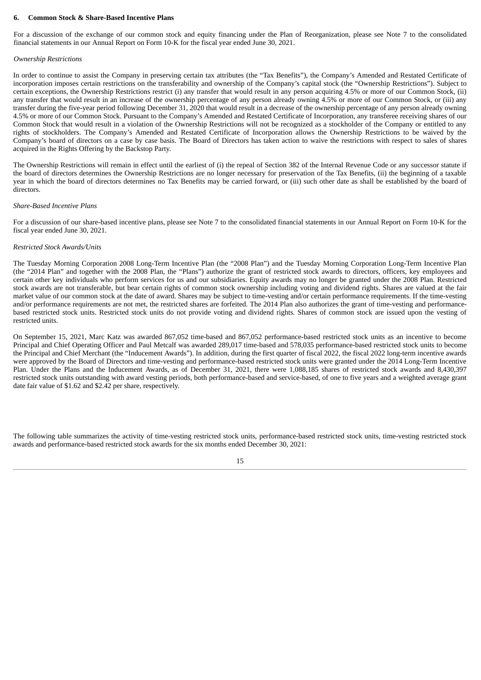#### **6. Common Stock & Share-Based Incentive Plans**

For a discussion of the exchange of our common stock and equity financing under the Plan of Reorganization, please see Note 7 to the consolidated financial statements in our Annual Report on Form 10-K for the fiscal year ended June 30, 2021.

#### *Ownership Restrictions*

In order to continue to assist the Company in preserving certain tax attributes (the "Tax Benefits"), the Company's Amended and Restated Certificate of incorporation imposes certain restrictions on the transferability and ownership of the Company's capital stock (the "Ownership Restrictions"). Subject to certain exceptions, the Ownership Restrictions restrict (i) any transfer that would result in any person acquiring 4.5% or more of our Common Stock, (ii) any transfer that would result in an increase of the ownership percentage of any person already owning 4.5% or more of our Common Stock, or (iii) any transfer during the five-year period following December 31, 2020 that would result in a decrease of the ownership percentage of any person already owning 4.5% or more of our Common Stock. Pursuant to the Company's Amended and Restated Certificate of Incorporation, any transferee receiving shares of our Common Stock that would result in a violation of the Ownership Restrictions will not be recognized as a stockholder of the Company or entitled to any rights of stockholders. The Company's Amended and Restated Certificate of Incorporation allows the Ownership Restrictions to be waived by the Company's board of directors on a case by case basis. The Board of Directors has taken action to waive the restrictions with respect to sales of shares acquired in the Rights Offering by the Backstop Party.

The Ownership Restrictions will remain in effect until the earliest of (i) the repeal of Section 382 of the Internal Revenue Code or any successor statute if the board of directors determines the Ownership Restrictions are no longer necessary for preservation of the Tax Benefits, (ii) the beginning of a taxable year in which the board of directors determines no Tax Benefits may be carried forward, or (iii) such other date as shall be established by the board of directors.

#### *Share-Based Incentive Plans*

For a discussion of our share-based incentive plans, please see Note 7 to the consolidated financial statements in our Annual Report on Form 10-K for the fiscal year ended June 30, 2021.

#### *Restricted Stock Awards/Units*

The Tuesday Morning Corporation 2008 Long-Term Incentive Plan (the "2008 Plan") and the Tuesday Morning Corporation Long-Term Incentive Plan (the "2014 Plan" and together with the 2008 Plan, the "Plans") authorize the grant of restricted stock awards to directors, officers, key employees and certain other key individuals who perform services for us and our subsidiaries. Equity awards may no longer be granted under the 2008 Plan. Restricted stock awards are not transferable, but bear certain rights of common stock ownership including voting and dividend rights. Shares are valued at the fair market value of our common stock at the date of award. Shares may be subject to time-vesting and/or certain performance requirements. If the time-vesting and/or performance requirements are not met, the restricted shares are forfeited. The 2014 Plan also authorizes the grant of time-vesting and performancebased restricted stock units. Restricted stock units do not provide voting and dividend rights. Shares of common stock are issued upon the vesting of restricted units.

On September 15, 2021, Marc Katz was awarded 867,052 time-based and 867,052 performance-based restricted stock units as an incentive to become Principal and Chief Operating Officer and Paul Metcalf was awarded 289,017 time-based and 578,035 performance-based restricted stock units to become the Principal and Chief Merchant (the "Inducement Awards"). In addition, during the first quarter of fiscal 2022, the fiscal 2022 long-term incentive awards were approved by the Board of Directors and time-vesting and performance-based restricted stock units were granted under the 2014 Long-Term Incentive Plan. Under the Plans and the Inducement Awards, as of December 31, 2021, there were 1,088,185 shares of restricted stock awards and 8,430,397 restricted stock units outstanding with award vesting periods, both performance-based and service-based, of one to five years and a weighted average grant date fair value of \$1.62 and \$2.42 per share, respectively.

The following table summarizes the activity of time-vesting restricted stock units, performance-based restricted stock units, time-vesting restricted stock awards and performance-based restricted stock awards for the six months ended December 30, 2021:

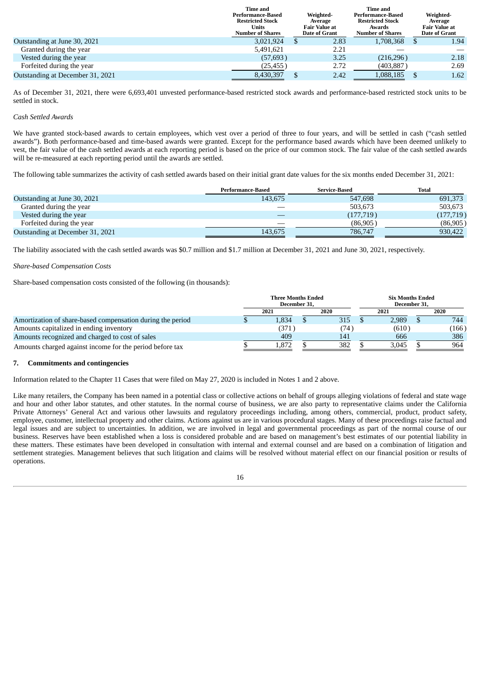|                                  | <b>Time and</b><br>Performance-Based<br><b>Restricted Stock</b><br>Units<br><b>Number of Shares</b> | Weighted-<br>Average<br><b>Fair Value at</b><br><b>Date of Grant</b> | Time and<br><b>Performance-Based</b><br><b>Restricted Stock</b><br>Awards<br><b>Number of Shares</b> | Weighted-<br>Average<br><b>Fair Value at</b><br><b>Date of Grant</b> |
|----------------------------------|-----------------------------------------------------------------------------------------------------|----------------------------------------------------------------------|------------------------------------------------------------------------------------------------------|----------------------------------------------------------------------|
| Outstanding at June 30, 2021     | 3.021.924                                                                                           | 2.83                                                                 | 1,708,368                                                                                            | 1.94                                                                 |
| Granted during the year          | 5,491,621                                                                                           | 2.21                                                                 |                                                                                                      |                                                                      |
| Vested during the year           | (57,693)                                                                                            | 3.25                                                                 | (216, 296)                                                                                           | 2.18                                                                 |
| Forfeited during the year        | (25, 455)                                                                                           | 2.72                                                                 | (403, 887)                                                                                           | 2.69                                                                 |
| Outstanding at December 31, 2021 | 8,430,397                                                                                           | 2.42                                                                 | 1,088,185                                                                                            | 1.62                                                                 |

As of December 31, 2021, there were 6,693,401 unvested performance-based restricted stock awards and performance-based restricted stock units to be settled in stock.

## *Cash Settled Awards*

We have granted stock-based awards to certain employees, which vest over a period of three to four years, and will be settled in cash ("cash settled awards"). Both performance-based and time-based awards were granted. Except for the performance based awards which have been deemed unlikely to vest, the fair value of the cash settled awards at each reporting period is based on the price of our common stock. The fair value of the cash settled awards will be re-measured at each reporting period until the awards are settled.

The following table summarizes the activity of cash settled awards based on their initial grant date values for the six months ended December 31, 2021:

|                                  | Performance-Based | <b>Service-Based</b> | Total      |
|----------------------------------|-------------------|----------------------|------------|
| Outstanding at June 30, 2021     | 143.675           | 547,698              | 691,373    |
| Granted during the year          |                   | 503,673              | 503.673    |
| Vested during the year           |                   | (177, 719)           | (177, 719) |
| Forfeited during the year        |                   | (86,905)             | (86,905)   |
| Outstanding at December 31, 2021 | 143.675           | 786,747              | 930,422    |

The liability associated with the cash settled awards was \$0.7 million and \$1.7 million at December 31, 2021 and June 30, 2021, respectively.

## *Share-based Compensation Costs*

Share-based compensation costs consisted of the following (in thousands):

|                                                            | <b>Three Months Ended</b><br>December 31. |       |  | <b>Six Months Ended</b><br>December 31. |  |       |  |       |
|------------------------------------------------------------|-------------------------------------------|-------|--|-----------------------------------------|--|-------|--|-------|
|                                                            |                                           | 2021  |  | 2020                                    |  | 2021  |  | 2020  |
| Amortization of share-based compensation during the period |                                           | 1.834 |  | 315                                     |  | 2,989 |  | 744   |
| Amounts capitalized in ending inventory                    |                                           | (371) |  | (74)                                    |  | (610) |  | (166) |
| Amounts recognized and charged to cost of sales            |                                           | 409   |  | 141                                     |  | 666   |  | 386   |
| Amounts charged against income for the period before tax   |                                           | 1.872 |  | 382                                     |  | 3.045 |  | 964   |

#### **7. Commitments and contingencies**

Information related to the Chapter 11 Cases that were filed on May 27, 2020 is included in Notes 1 and 2 above.

Like many retailers, the Company has been named in a potential class or collective actions on behalf of groups alleging violations of federal and state wage and hour and other labor statutes, and other statutes. In the normal course of business, we are also party to representative claims under the California Private Attorneys' General Act and various other lawsuits and regulatory proceedings including, among others, commercial, product, product safety, employee, customer, intellectual property and other claims. Actions against us are in various procedural stages. Many of these proceedings raise factual and legal issues and are subject to uncertainties. In addition, we are involved in legal and governmental proceedings as part of the normal course of our business. Reserves have been established when a loss is considered probable and are based on management's best estimates of our potential liability in these matters. These estimates have been developed in consultation with internal and external counsel and are based on a combination of litigation and settlement strategies. Management believes that such litigation and claims will be resolved without material effect on our financial position or results of operations.

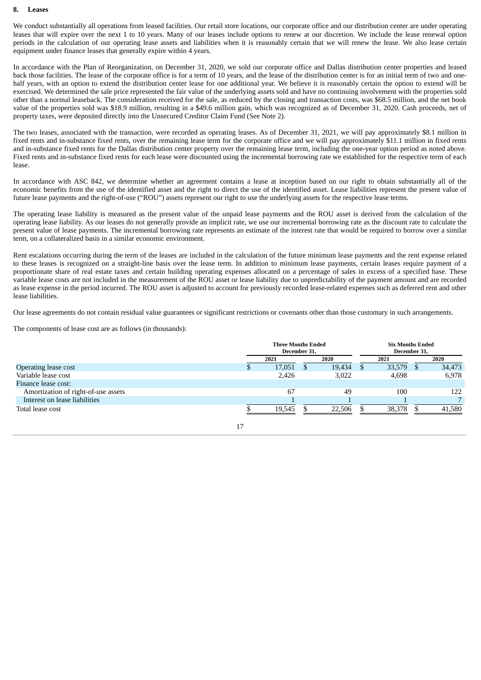#### **8. Leases**

We conduct substantially all operations from leased facilities. Our retail store locations, our corporate office and our distribution center are under operating leases that will expire over the next 1 to 10 years. Many of our leases include options to renew at our discretion. We include the lease renewal option periods in the calculation of our operating lease assets and liabilities when it is reasonably certain that we will renew the lease. We also lease certain equipment under finance leases that generally expire within 4 years.

In accordance with the Plan of Reorganization, on December 31, 2020, we sold our corporate office and Dallas distribution center properties and leased back those facilities. The lease of the corporate office is for a term of 10 years, and the lease of the distribution center is for an initial term of two and onehalf years, with an option to extend the distribution center lease for one additional year. We believe it is reasonably certain the option to extend will be exercised. We determined the sale price represented the fair value of the underlying assets sold and have no continuing involvement with the properties sold other than a normal leaseback. The consideration received for the sale, as reduced by the closing and transaction costs, was \$68.5 million, and the net book value of the properties sold was \$18.9 million, resulting in a \$49.6 million gain, which was recognized as of December 31, 2020. Cash proceeds, net of property taxes, were deposited directly into the Unsecured Creditor Claim Fund (See Note 2).

The two leases, associated with the transaction, were recorded as operating leases. As of December 31, 2021, we will pay approximately \$8.1 million in fixed rents and in-substance fixed rents, over the remaining lease term for the corporate office and we will pay approximately \$11.1 million in fixed rents and in-substance fixed rents for the Dallas distribution center property over the remaining lease term, including the one-year option period as noted above. Fixed rents and in-substance fixed rents for each lease were discounted using the incremental borrowing rate we established for the respective term of each lease.

In accordance with ASC 842, we determine whether an agreement contains a lease at inception based on our right to obtain substantially all of the economic benefits from the use of the identified asset and the right to direct the use of the identified asset. Lease liabilities represent the present value of future lease payments and the right-of-use ("ROU") assets represent our right to use the underlying assets for the respective lease terms.

The operating lease liability is measured as the present value of the unpaid lease payments and the ROU asset is derived from the calculation of the operating lease liability. As our leases do not generally provide an implicit rate, we use our incremental borrowing rate as the discount rate to calculate the present value of lease payments. The incremental borrowing rate represents an estimate of the interest rate that would be required to borrow over a similar term, on a collateralized basis in a similar economic environment.

Rent escalations occurring during the term of the leases are included in the calculation of the future minimum lease payments and the rent expense related to these leases is recognized on a straight-line basis over the lease term. In addition to minimum lease payments, certain leases require payment of a proportionate share of real estate taxes and certain building operating expenses allocated on a percentage of sales in excess of a specified base. These variable lease costs are not included in the measurement of the ROU asset or lease liability due to unpredictability of the payment amount and are recorded as lease expense in the period incurred. The ROU asset is adjusted to account for previously recorded lease-related expenses such as deferred rent and other lease liabilities.

Our lease agreements do not contain residual value guarantees or significant restrictions or covenants other than those customary in such arrangements.

The components of lease cost are as follows (in thousands):

|                                     | <b>Three Months Ended</b><br>December 31, |    |        |  | <b>Six Months Ended</b><br>December 31, |  |                |  |
|-------------------------------------|-------------------------------------------|----|--------|--|-----------------------------------------|--|----------------|--|
|                                     | 2021                                      |    | 2020   |  | 2021                                    |  | 2020           |  |
| Operating lease cost                | 17,051                                    | -S | 19,434 |  | 33,579                                  |  | 34,473         |  |
| Variable lease cost                 | 2.426                                     |    | 3,022  |  | 4,698                                   |  | 6,978          |  |
| Finance lease cost:                 |                                           |    |        |  |                                         |  |                |  |
| Amortization of right-of-use assets | 67                                        |    | 49     |  | 100                                     |  | 122            |  |
| Interest on lease liabilities       |                                           |    |        |  |                                         |  | $\overline{7}$ |  |
| Total lease cost                    | 19.545                                    |    | 22,506 |  | 38,378                                  |  | 41,580         |  |
|                                     |                                           |    |        |  |                                         |  |                |  |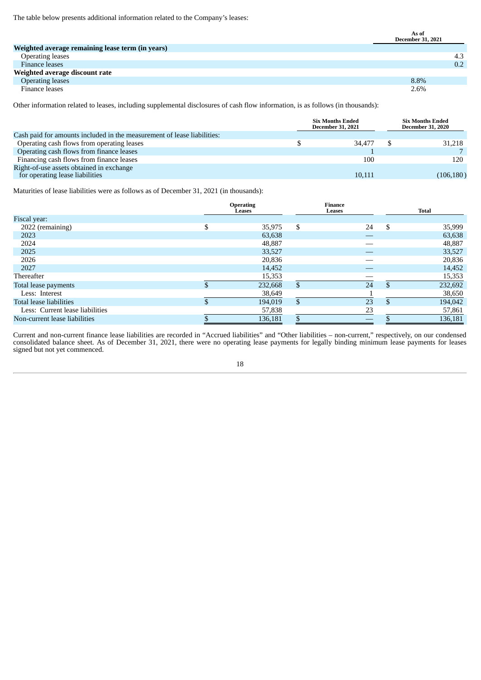|                                                  | As of<br><b>December 31, 2021</b> |
|--------------------------------------------------|-----------------------------------|
| Weighted average remaining lease term (in years) |                                   |
| <b>Operating leases</b>                          | 4.3                               |
| Finance leases                                   | 0.2                               |
| Weighted average discount rate                   |                                   |
| <b>Operating leases</b>                          | 8.8%                              |
| Finance leases                                   | 2.6%                              |

Other information related to leases, including supplemental disclosures of cash flow information, is as follows (in thousands):

|        |                                                     | <b>Six Months Ended</b><br><b>December 31, 2020</b> |
|--------|-----------------------------------------------------|-----------------------------------------------------|
|        |                                                     |                                                     |
| 34,477 |                                                     | 31.218                                              |
|        |                                                     |                                                     |
| 100    |                                                     | 120                                                 |
|        |                                                     |                                                     |
| 10,111 |                                                     | (106, 180)                                          |
|        | <b>Six Months Ended</b><br><b>December 31, 2021</b> |                                                     |

Maturities of lease liabilities were as follows as of December 31, 2021 (in thousands):

|                                 | <b>Operating</b><br>Leases | <b>Finance</b><br>Leases | <b>Total</b> |         |  |
|---------------------------------|----------------------------|--------------------------|--------------|---------|--|
| Fiscal year:                    |                            |                          |              |         |  |
| 2022 (remaining)                | \$<br>35,975               | \$<br>24                 | \$           | 35,999  |  |
| 2023                            | 63,638                     | __                       |              | 63,638  |  |
| 2024                            | 48,887                     |                          |              | 48,887  |  |
| 2025                            | 33,527                     |                          |              | 33,527  |  |
| 2026                            | 20,836                     |                          |              | 20,836  |  |
| 2027                            | 14,452                     |                          |              | 14,452  |  |
| Thereafter                      | 15,353                     |                          |              | 15,353  |  |
| Total lease payments            | 232,668                    | \$<br>24                 | \$           | 232,692 |  |
| Less: Interest                  | 38,649                     |                          |              | 38,650  |  |
| Total lease liabilities         | 194,019                    | \$<br>23                 | \$           | 194,042 |  |
| Less: Current lease liabilities | 57,838                     | 23                       |              | 57,861  |  |
| Non-current lease liabilities   | 136,181                    | \$                       |              | 136,181 |  |

Current and non-current finance lease liabilities are recorded in "Accrued liabilities" and "Other liabilities – non-current," respectively, on our condensed consolidated balance sheet. As of December 31, 2021, there were no operating lease payments for legally binding minimum lease payments for leases signed but not yet commenced.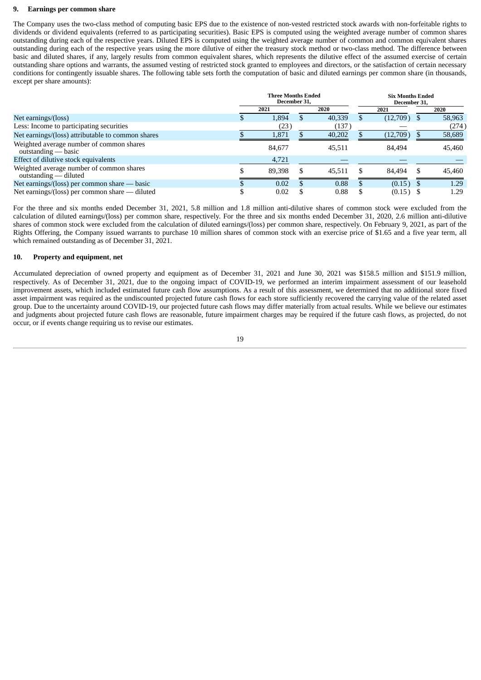#### **9. Earnings per common share**

The Company uses the two-class method of computing basic EPS due to the existence of non-vested restricted stock awards with non-forfeitable rights to dividends or dividend equivalents (referred to as participating securities). Basic EPS is computed using the weighted average number of common shares outstanding during each of the respective years. Diluted EPS is computed using the weighted average number of common and common equivalent shares outstanding during each of the respective years using the more dilutive of either the treasury stock method or two-class method. The difference between basic and diluted shares, if any, largely results from common equivalent shares, which represents the dilutive effect of the assumed exercise of certain outstanding share options and warrants, the assumed vesting of restricted stock granted to employees and directors, or the satisfaction of certain necessary conditions for contingently issuable shares. The following table sets forth the computation of basic and diluted earnings per common share (in thousands, except per share amounts):

|                                                                     | <b>Three Months Ended</b><br>December 31. |    |        |  | <b>Six Months Ended</b><br>December 31, |  |        |
|---------------------------------------------------------------------|-------------------------------------------|----|--------|--|-----------------------------------------|--|--------|
|                                                                     | 2021                                      |    | 2020   |  | 2021                                    |  | 2020   |
| Net earnings/(loss)                                                 | 1.894                                     |    | 40,339 |  | $(12,709)$ \$                           |  | 58,963 |
| Less: Income to participating securities                            | (23)                                      |    | (137)  |  |                                         |  | (274)  |
| Net earnings/(loss) attributable to common shares                   | 1,871                                     |    | 40,202 |  | (12,709)                                |  | 58,689 |
| Weighted average number of common shares<br>outstanding $-$ basic   | 84,677                                    |    | 45,511 |  | 84.494                                  |  | 45,460 |
| Effect of dilutive stock equivalents                                | 4,721                                     |    |        |  |                                         |  |        |
| Weighted average number of common shares<br>$outstanding$ - diluted | 89,398                                    | £. | 45,511 |  | 84,494                                  |  | 45,460 |
| Net earnings/(loss) per common share $-$ basic                      | 0.02                                      | S. | 0.88   |  | $(0.15)$ \$                             |  | 1.29   |
| Net earnings/(loss) per common share $-$ diluted                    | 0.02                                      |    | 0.88   |  | (0.15)                                  |  | 1.29   |

For the three and six months ended December 31, 2021, 5.8 million and 1.8 million anti-dilutive shares of common stock were excluded from the calculation of diluted earnings/(loss) per common share, respectively. For the three and six months ended December 31, 2020, 2.6 million anti-dilutive shares of common stock were excluded from the calculation of diluted earnings/(loss) per common share, respectively. On February 9, 2021, as part of the Rights Offering, the Company issued warrants to purchase 10 million shares of common stock with an exercise price of \$1.65 and a five year term, all which remained outstanding as of December 31, 2021.

## **10. Property and equipment**, **net**

Accumulated depreciation of owned property and equipment as of December 31, 2021 and June 30, 2021 was \$158.5 million and \$151.9 million, respectively. As of December 31, 2021, due to the ongoing impact of COVID-19, we performed an interim impairment assessment of our leasehold improvement assets, which included estimated future cash flow assumptions. As a result of this assessment, we determined that no additional store fixed asset impairment was required as the undiscounted projected future cash flows for each store sufficiently recovered the carrying value of the related asset group. Due to the uncertainty around COVID-19, our projected future cash flows may differ materially from actual results. While we believe our estimates and judgments about projected future cash flows are reasonable, future impairment charges may be required if the future cash flows, as projected, do not occur, or if events change requiring us to revise our estimates.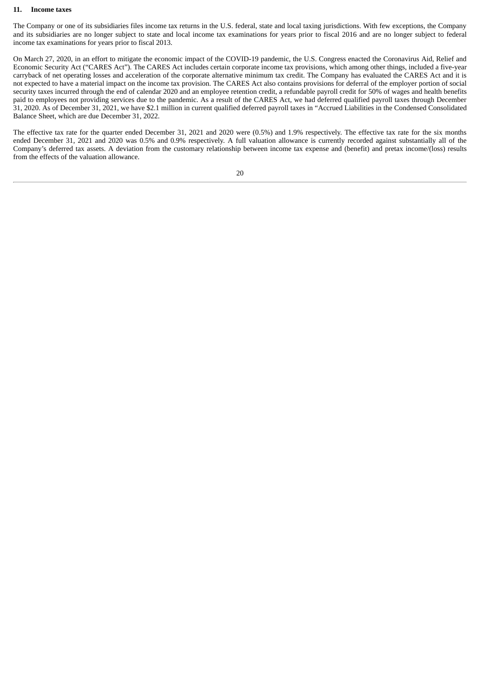#### **11. Income taxes**

The Company or one of its subsidiaries files income tax returns in the U.S. federal, state and local taxing jurisdictions. With few exceptions, the Company and its subsidiaries are no longer subject to state and local income tax examinations for years prior to fiscal 2016 and are no longer subject to federal income tax examinations for years prior to fiscal 2013.

On March 27, 2020, in an effort to mitigate the economic impact of the COVID-19 pandemic, the U.S. Congress enacted the Coronavirus Aid, Relief and Economic Security Act ("CARES Act"). The CARES Act includes certain corporate income tax provisions, which among other things, included a five-year carryback of net operating losses and acceleration of the corporate alternative minimum tax credit. The Company has evaluated the CARES Act and it is not expected to have a material impact on the income tax provision. The CARES Act also contains provisions for deferral of the employer portion of social security taxes incurred through the end of calendar 2020 and an employee retention credit, a refundable payroll credit for 50% of wages and health benefits paid to employees not providing services due to the pandemic. As a result of the CARES Act, we had deferred qualified payroll taxes through December 31, 2020. As of December 31, 2021, we have \$2.1 million in current qualified deferred payroll taxes in "Accrued Liabilities in the Condensed Consolidated Balance Sheet, which are due December 31, 2022.

The effective tax rate for the quarter ended December 31, 2021 and 2020 were (0.5%) and 1.9% respectively. The effective tax rate for the six months ended December 31, 2021 and 2020 was 0.5% and 0.9% respectively. A full valuation allowance is currently recorded against substantially all of the Company's deferred tax assets. A deviation from the customary relationship between income tax expense and (benefit) and pretax income/(loss) results from the effects of the valuation allowance.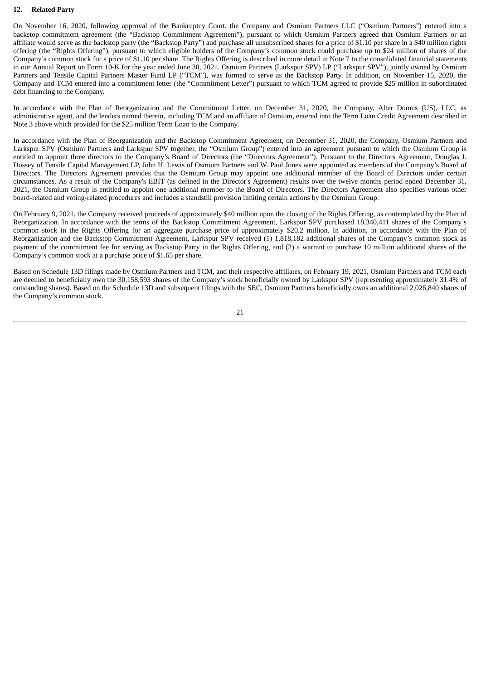## **12. Related Party**

On November 16, 2020, following approval of the Bankruptcy Court, the Company and Osmium Partners LLC ("Osmium Partners") entered into a backstop commitment agreement (the "Backstop Commitment Agreement"), pursuant to which Osmium Partners agreed that Osmium Partners or an affiliate would serve as the backstop party (the "Backstop Party") and purchase all unsubscribed shares for a price of \$1.10 per share in a \$40 million rights offering (the "Rights Offering"), pursuant to which eligible holders of the Company's common stock could purchase up to \$24 million of shares of the Company's common stock for a price of \$1.10 per share. The Rights Offering is described in more detail in Note 7 to the consolidated financial statements in our Annual Report on Form 10-K for the year ended June 30, 2021. Osmium Partners (Larkspur SPV) LP ("Larkspur SPV"), jointly owned by Osmium Partners and Tensile Capital Partners Master Fund LP ("TCM"), was formed to serve as the Backstop Party. In addition, on November 15, 2020, the Company and TCM entered into a commitment letter (the "Commitment Letter") pursuant to which TCM agreed to provide \$25 million in subordinated debt financing to the Company.

In accordance with the Plan of Reorganization and the Commitment Letter, on December 31, 2020, the Company, Alter Domus (US), LLC, as administrative agent, and the lenders named therein, including TCM and an affiliate of Osmium, entered into the Term Loan Credit Agreement described in Note 3 above which provided for the \$25 million Term Loan to the Company.

In accordance with the Plan of Reorganization and the Backstop Commitment Agreement, on December 31, 2020, the Company, Osmium Partners and Larkspur SPV (Osmium Partners and Larkspur SPV together, the "Osmium Group") entered into an agreement pursuant to which the Osmium Group is entitled to appoint three directors to the Company's Board of Directors (the "Directors Agreement"). Pursuant to the Directors Agreement, Douglas J. Dossey of Tensile Capital Management LP, John H. Lewis of Osmium Partners and W. Paul Jones were appointed as members of the Company's Board of Directors. The Directors Agreement provides that the Osmium Group may appoint one additional member of the Board of Directors under certain circumstances. As a result of the Company's EBIT (as defined in the Director's Agreement) results over the twelve months period ended December 31, 2021, the Osmium Group is entitled to appoint one additional member to the Board of Directors. The Directors Agreement also specifies various other board-related and voting-related procedures and includes a standstill provision limiting certain actions by the Osmium Group.

On February 9, 2021, the Company received proceeds of approximately \$40 million upon the closing of the Rights Offering, as contemplated by the Plan of Reorganization. In accordance with the terms of the Backstop Commitment Agreement, Larkspur SPV purchased 18,340,411 shares of the Company's common stock in the Rights Offering for an aggregate purchase price of approximately \$20.2 million. In addition, in accordance with the Plan of Reorganization and the Backstop Commitment Agreement, Larkspur SPV received (1) 1,818,182 additional shares of the Company's common stock as payment of the commitment fee for serving as Backstop Party in the Rights Offering, and (2) a warrant to purchase 10 million additional shares of the Company's common stock at a purchase price of \$1.65 per share.

Based on Schedule 13D filings made by Osmium Partners and TCM, and their respective affiliates, on February 19, 2021, Osmium Partners and TCM each are deemed to beneficially own the 30,158,593 shares of the Company's stock beneficially owned by Larkspur SPV (representing approximately 31.4% of outstanding shares). Based on the Schedule 13D and subsequent filings with the SEC, Osmium Partners beneficially owns an additional 2,026,840 shares of the Company's common stock.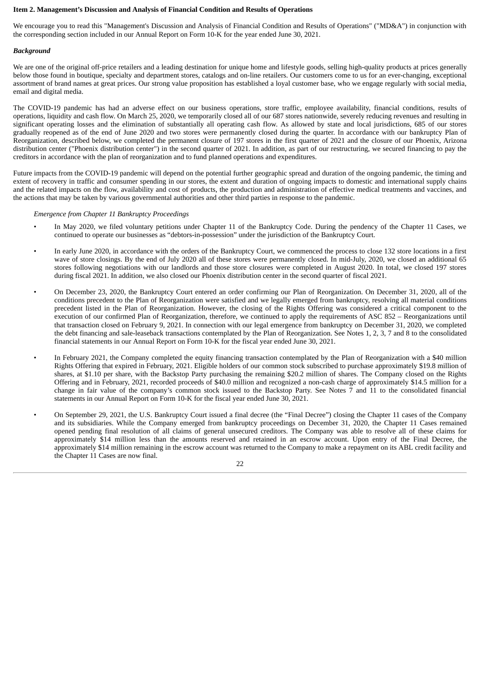## <span id="page-21-0"></span>**Item 2. Management's Discussion and Analysis of Financial Condition and Results of Operations**

We encourage you to read this "Management's Discussion and Analysis of Financial Condition and Results of Operations" ("MD&A") in conjunction with the corresponding section included in our Annual Report on Form 10-K for the year ended June 30, 2021.

## *Background*

We are one of the original off-price retailers and a leading destination for unique home and lifestyle goods, selling high-quality products at prices generally below those found in boutique, specialty and department stores, catalogs and on-line retailers. Our customers come to us for an ever-changing, exceptional assortment of brand names at great prices. Our strong value proposition has established a loyal customer base, who we engage regularly with social media, email and digital media.

The COVID-19 pandemic has had an adverse effect on our business operations, store traffic, employee availability, financial conditions, results of operations, liquidity and cash flow. On March 25, 2020, we temporarily closed all of our 687 stores nationwide, severely reducing revenues and resulting in significant operating losses and the elimination of substantially all operating cash flow. As allowed by state and local jurisdictions, 685 of our stores gradually reopened as of the end of June 2020 and two stores were permanently closed during the quarter. In accordance with our bankruptcy Plan of Reorganization, described below, we completed the permanent closure of 197 stores in the first quarter of 2021 and the closure of our Phoenix, Arizona distribution center ("Phoenix distribution center") in the second quarter of 2021. In addition, as part of our restructuring, we secured financing to pay the creditors in accordance with the plan of reorganization and to fund planned operations and expenditures.

Future impacts from the COVID-19 pandemic will depend on the potential further geographic spread and duration of the ongoing pandemic, the timing and extent of recovery in traffic and consumer spending in our stores, the extent and duration of ongoing impacts to domestic and international supply chains and the related impacts on the flow, availability and cost of products, the production and administration of effective medical treatments and vaccines, and the actions that may be taken by various governmental authorities and other third parties in response to the pandemic.

## *Emergence from Chapter 11 Bankruptcy Proceedings*

- In May 2020, we filed voluntary petitions under Chapter 11 of the Bankruptcy Code. During the pendency of the Chapter 11 Cases, we continued to operate our businesses as "debtors-in-possession" under the jurisdiction of the Bankruptcy Court.
- In early June 2020, in accordance with the orders of the Bankruptcy Court, we commenced the process to close 132 store locations in a first wave of store closings. By the end of July 2020 all of these stores were permanently closed. In mid-July, 2020, we closed an additional 65 stores following negotiations with our landlords and those store closures were completed in August 2020. In total, we closed 197 stores during fiscal 2021. In addition, we also closed our Phoenix distribution center in the second quarter of fiscal 2021.
- On December 23, 2020, the Bankruptcy Court entered an order confirming our Plan of Reorganization. On December 31, 2020, all of the conditions precedent to the Plan of Reorganization were satisfied and we legally emerged from bankruptcy, resolving all material conditions precedent listed in the Plan of Reorganization. However, the closing of the Rights Offering was considered a critical component to the execution of our confirmed Plan of Reorganization, therefore, we continued to apply the requirements of ASC 852 – Reorganizations until that transaction closed on February 9, 2021. In connection with our legal emergence from bankruptcy on December 31, 2020, we completed the debt financing and sale-leaseback transactions contemplated by the Plan of Reorganization. See Notes 1, 2, 3, 7 and 8 to the consolidated financial statements in our Annual Report on Form 10-K for the fiscal year ended June 30, 2021.
- In February 2021, the Company completed the equity financing transaction contemplated by the Plan of Reorganization with a \$40 million Rights Offering that expired in February, 2021. Eligible holders of our common stock subscribed to purchase approximately \$19.8 million of shares, at \$1.10 per share, with the Backstop Party purchasing the remaining \$20.2 million of shares. The Company closed on the Rights Offering and in February, 2021, recorded proceeds of \$40.0 million and recognized a non-cash charge of approximately \$14.5 million for a change in fair value of the company's common stock issued to the Backstop Party. See Notes 7 and 11 to the consolidated financial statements in our Annual Report on Form 10-K for the fiscal year ended June 30, 2021.
- On September 29, 2021, the U.S. Bankruptcy Court issued a final decree (the "Final Decree") closing the Chapter 11 cases of the Company and its subsidiaries. While the Company emerged from bankruptcy proceedings on December 31, 2020, the Chapter 11 Cases remained opened pending final resolution of all claims of general unsecured creditors. The Company was able to resolve all of these claims for approximately \$14 million less than the amounts reserved and retained in an escrow account. Upon entry of the Final Decree, the approximately \$14 million remaining in the escrow account was returned to the Company to make a repayment on its ABL credit facility and the Chapter 11 Cases are now final.

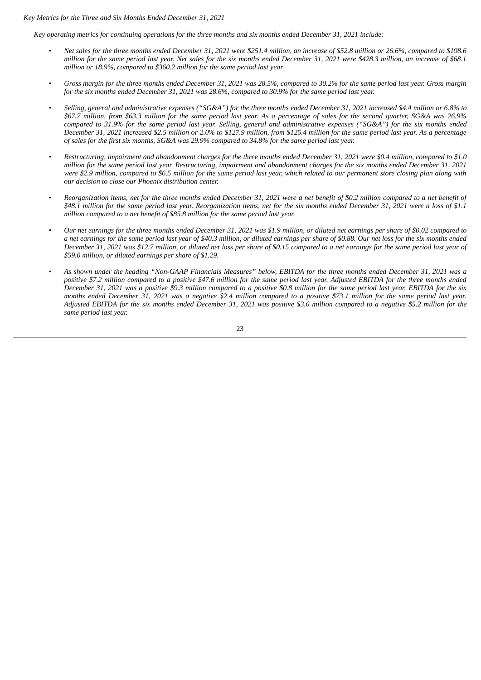*Key Metrics for the Three and Six Months Ended December 31, 2021*

Key operating metrics for continuing operations for the three months and six months ended December 31, 2021 include:

- Net sales for the three months ended December 31, 2021 were \$251.4 million, an increase of \$52.8 million or 26.6%, compared to \$198.6 million for the same period last year. Net sales for the six months ended December 31, 2021 were \$428.3 million, an increase of \$68.1 *million or 18.9%, compared to \$360.2 million for the same period last year.*
- Gross margin for the three months ended December 31, 2021 was 28.5%, compared to 30.2% for the same period last year. Gross margin for the six months ended December 31, 2021 was 28.6%, compared to 30.9% for the same period last year.
- Selling, general and administrative expenses ("SG&A") for the three months ended December 31, 2021 increased \$4.4 million or 6.8% to \$67.7 million, from \$63.3 million for the same period last year. As a percentage of sales for the second quarter, SG&A was 26.9% compared to 31.9% for the same period last year. Selling, general and administrative expenses ("SG&A") for the six months ended December 31, 2021 increased \$2.5 million or 2.0% to \$127.9 million, from \$125.4 million for the same period last year. As a percentage of sales for the first six months, SG&A was 29.9% compared to 34.8% for the same period last year.
- Restructuring, impairment and abandonment charges for the three months ended December 31, 2021 were \$0.4 million, compared to \$1.0 million for the same period last year. Restructuring, impairment and abandonment charges for the six months ended December 31, 2021 were \$2.9 million, compared to \$6.5 million for the same period last year, which related to our permanent store closing plan along with *our decision to close our Phoenix distribution center.*
- Reorganization items, net for the three months ended December 31, 2021 were a net benefit of \$0.2 million compared to a net benefit of \$48.1 million for the same period last year. Reorganization items, net for the six months ended December 31, 2021 were a loss of \$1.1 *million compared to a net benefit of \$85.8 million for the same period last year.*
- Our net earnings for the three months ended December 31, 2021 was \$1.9 million, or diluted net earnings per share of \$0.02 compared to a net earnings for the same period last year of \$40.3 million, or diluted earnings per share of \$0.88. Our net loss for the six months ended December 31, 2021 was \$12.7 million, or diluted net loss per share of \$0.15 compared to a net earnings for the same period last year of *\$59.0 million, or diluted earnings per share of \$1.29.*
- As shown under the heading "Non-GAAP Financials Measures" below. EBITDA for the three months ended December 31, 2021 was a positive \$7.2 million compared to a positive \$47.6 million for the same period last year. Adjusted EBITDA for the three months ended December 31, 2021 was a positive \$9.3 million compared to a positive \$0.8 million for the same period last year. EBITDA for the six months ended December 31, 2021 was a negative \$2.4 million compared to a positive \$73.1 million for the same period last year. Adjusted EBITDA for the six months ended December 31, 2021 was positive \$3.6 million compared to a negative \$5.2 million for the *same period last year.*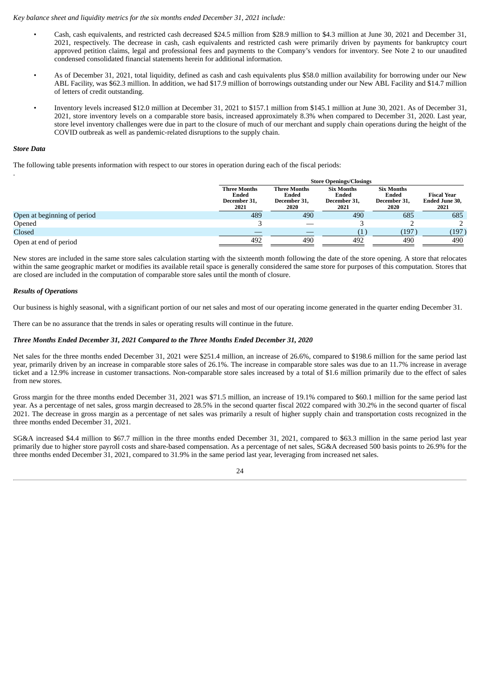*Key balance sheet and liquidity metrics for the six months ended December 31, 2021 include:*

- Cash, cash equivalents, and restricted cash decreased \$24.5 million from \$28.9 million to \$4.3 million at June 30, 2021 and December 31, 2021, respectively. The decrease in cash, cash equivalents and restricted cash were primarily driven by payments for bankruptcy court approved petition claims, legal and professional fees and payments to the Company's vendors for inventory. See Note 2 to our unaudited condensed consolidated financial statements herein for additional information.
- As of December 31, 2021, total liquidity, defined as cash and cash equivalents plus \$58.0 million availability for borrowing under our New ABL Facility, was \$62.3 million. In addition, we had \$17.9 million of borrowings outstanding under our New ABL Facility and \$14.7 million of letters of credit outstanding.
- Inventory levels increased \$12.0 million at December 31, 2021 to \$157.1 million from \$145.1 million at June 30, 2021. As of December 31, 2021, store inventory levels on a comparable store basis, increased approximately 8.3% when compared to December 31, 2020. Last year, store level inventory challenges were due in part to the closure of much of our merchant and supply chain operations during the height of the COVID outbreak as well as pandemic-related disruptions to the supply chain.

## *Store Data*

.

The following table presents information with respect to our stores in operation during each of the fiscal periods:

|                             | <b>Store Openings/Closings</b>                       |                                                             |                                                           |                                                           |                                              |  |  |  |  |
|-----------------------------|------------------------------------------------------|-------------------------------------------------------------|-----------------------------------------------------------|-----------------------------------------------------------|----------------------------------------------|--|--|--|--|
|                             | <b>Three Months</b><br>Ended<br>December 31,<br>2021 | <b>Three Months</b><br><b>Ended</b><br>December 31,<br>2020 | <b>Six Months</b><br><b>Ended</b><br>December 31,<br>2021 | <b>Six Months</b><br><b>Ended</b><br>December 31,<br>2020 | <b>Fiscal Year</b><br>Ended June 30,<br>2021 |  |  |  |  |
| Open at beginning of period | 489                                                  | 490                                                         | 490                                                       | 685                                                       | 685                                          |  |  |  |  |
| Opened                      |                                                      |                                                             |                                                           |                                                           |                                              |  |  |  |  |
| Closed                      |                                                      |                                                             |                                                           | (197                                                      | (197                                         |  |  |  |  |
| Open at end of period       | 492                                                  | 490                                                         | 492                                                       | 490                                                       | 490                                          |  |  |  |  |

New stores are included in the same store sales calculation starting with the sixteenth month following the date of the store opening. A store that relocates within the same geographic market or modifies its available retail space is generally considered the same store for purposes of this computation. Stores that are closed are included in the computation of comparable store sales until the month of closure.

## *Results of Operations*

Our business is highly seasonal, with a significant portion of our net sales and most of our operating income generated in the quarter ending December 31.

There can be no assurance that the trends in sales or operating results will continue in the future.

## *Three Months Ended December 31, 2021 Compared to the Three Months Ended December 31, 2020*

Net sales for the three months ended December 31, 2021 were \$251.4 million, an increase of 26.6%, compared to \$198.6 million for the same period last year, primarily driven by an increase in comparable store sales of 26.1%. The increase in comparable store sales was due to an 11.7% increase in average ticket and a 12.9% increase in customer transactions. Non-comparable store sales increased by a total of \$1.6 million primarily due to the effect of sales from new stores.

Gross margin for the three months ended December 31, 2021 was \$71.5 million, an increase of 19.1% compared to \$60.1 million for the same period last year. As a percentage of net sales, gross margin decreased to 28.5% in the second quarter fiscal 2022 compared with 30.2% in the second quarter of fiscal 2021. The decrease in gross margin as a percentage of net sales was primarily a result of higher supply chain and transportation costs recognized in the three months ended December 31, 2021.

SG&A increased \$4.4 million to \$67.7 million in the three months ended December 31, 2021, compared to \$63.3 million in the same period last year primarily due to higher store payroll costs and share-based compensation. As a percentage of net sales, SG&A decreased 500 basis points to 26.9% for the three months ended December 31, 2021, compared to 31.9% in the same period last year, leveraging from increased net sales.

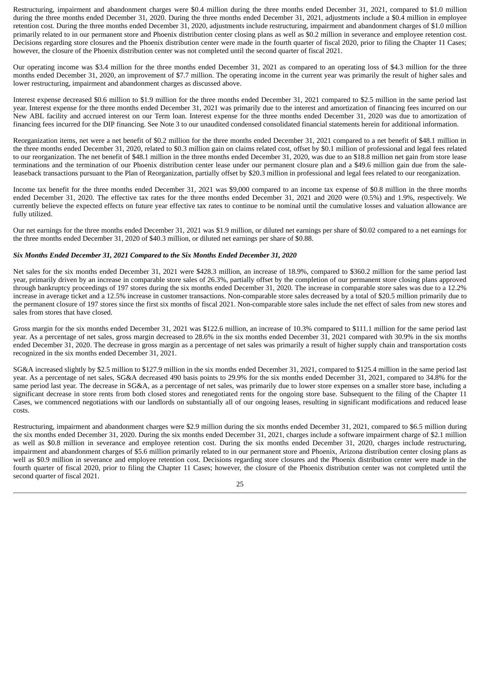Restructuring, impairment and abandonment charges were \$0.4 million during the three months ended December 31, 2021, compared to \$1.0 million during the three months ended December 31, 2020. During the three months ended December 31, 2021, adjustments include a \$0.4 million in employee retention cost. During the three months ended December 31, 2020, adjustments include restructuring, impairment and abandonment charges of \$1.0 million primarily related to in our permanent store and Phoenix distribution center closing plans as well as \$0.2 million in severance and employee retention cost. Decisions regarding store closures and the Phoenix distribution center were made in the fourth quarter of fiscal 2020, prior to filing the Chapter 11 Cases; however, the closure of the Phoenix distribution center was not completed until the second quarter of fiscal 2021.

Our operating income was \$3.4 million for the three months ended December 31, 2021 as compared to an operating loss of \$4.3 million for the three months ended December 31, 2020, an improvement of \$7.7 million. The operating income in the current year was primarily the result of higher sales and lower restructuring, impairment and abandonment charges as discussed above.

Interest expense decreased \$0.6 million to \$1.9 million for the three months ended December 31, 2021 compared to \$2.5 million in the same period last year. Interest expense for the three months ended December 31, 2021 was primarily due to the interest and amortization of financing fees incurred on our New ABL facility and accrued interest on our Term loan. Interest expense for the three months ended December 31, 2020 was due to amortization of financing fees incurred for the DIP financing. See Note 3 to our unaudited condensed consolidated financial statements herein for additional information.

Reorganization items, net were a net benefit of \$0.2 million for the three months ended December 31, 2021 compared to a net benefit of \$48.1 million in the three months ended December 31, 2020, related to \$0.3 million gain on claims related cost, offset by \$0.1 million of professional and legal fees related to our reorganization. The net benefit of \$48.1 million in the three months ended December 31, 2020, was due to an \$18.8 million net gain from store lease terminations and the termination of our Phoenix distribution center lease under our permanent closure plan and a \$49.6 million gain due from the saleleaseback transactions pursuant to the Plan of Reorganization, partially offset by \$20.3 million in professional and legal fees related to our reorganization.

Income tax benefit for the three months ended December 31, 2021 was \$9,000 compared to an income tax expense of \$0.8 million in the three months ended December 31, 2020. The effective tax rates for the three months ended December 31, 2021 and 2020 were (0.5%) and 1.9%, respectively. We currently believe the expected effects on future year effective tax rates to continue to be nominal until the cumulative losses and valuation allowance are fully utilized.

Our net earnings for the three months ended December 31, 2021 was \$1.9 million, or diluted net earnings per share of \$0.02 compared to a net earnings for the three months ended December 31, 2020 of \$40.3 million, or diluted net earnings per share of \$0.88.

## *Six Months Ended December 31, 2021 Compared to the Six Months Ended December 31, 2020*

Net sales for the six months ended December 31, 2021 were \$428.3 million, an increase of 18.9%, compared to \$360.2 million for the same period last year, primarily driven by an increase in comparable store sales of 26.3%, partially offset by the completion of our permanent store closing plans approved through bankruptcy proceedings of 197 stores during the six months ended December 31, 2020. The increase in comparable store sales was due to a 12.2% increase in average ticket and a 12.5% increase in customer transactions. Non-comparable store sales decreased by a total of \$20.5 million primarily due to the permanent closure of 197 stores since the first six months of fiscal 2021. Non-comparable store sales include the net effect of sales from new stores and sales from stores that have closed.

Gross margin for the six months ended December 31, 2021 was \$122.6 million, an increase of 10.3% compared to \$111.1 million for the same period last year. As a percentage of net sales, gross margin decreased to 28.6% in the six months ended December 31, 2021 compared with 30.9% in the six months ended December 31, 2020. The decrease in gross margin as a percentage of net sales was primarily a result of higher supply chain and transportation costs recognized in the six months ended December 31, 2021.

SG&A increased slightly by \$2.5 million to \$127.9 million in the six months ended December 31, 2021, compared to \$125.4 million in the same period last year. As a percentage of net sales, SG&A decreased 490 basis points to 29.9% for the six months ended December 31, 2021, compared to 34.8% for the same period last year. The decrease in SG&A, as a percentage of net sales, was primarily due to lower store expenses on a smaller store base, including a significant decrease in store rents from both closed stores and renegotiated rents for the ongoing store base. Subsequent to the filing of the Chapter 11 Cases, we commenced negotiations with our landlords on substantially all of our ongoing leases, resulting in significant modifications and reduced lease costs.

Restructuring, impairment and abandonment charges were \$2.9 million during the six months ended December 31, 2021, compared to \$6.5 million during the six months ended December 31, 2020. During the six months ended December 31, 2021, charges include a software impairment charge of \$2.1 million as well as \$0.8 million in severance and employee retention cost. During the six months ended December 31, 2020, charges include restructuring, impairment and abandonment charges of \$5.6 million primarily related to in our permanent store and Phoenix, Arizona distribution center closing plans as well as \$0.9 million in severance and employee retention cost. Decisions regarding store closures and the Phoenix distribution center were made in the fourth quarter of fiscal 2020, prior to filing the Chapter 11 Cases; however, the closure of the Phoenix distribution center was not completed until the second quarter of fiscal 2021.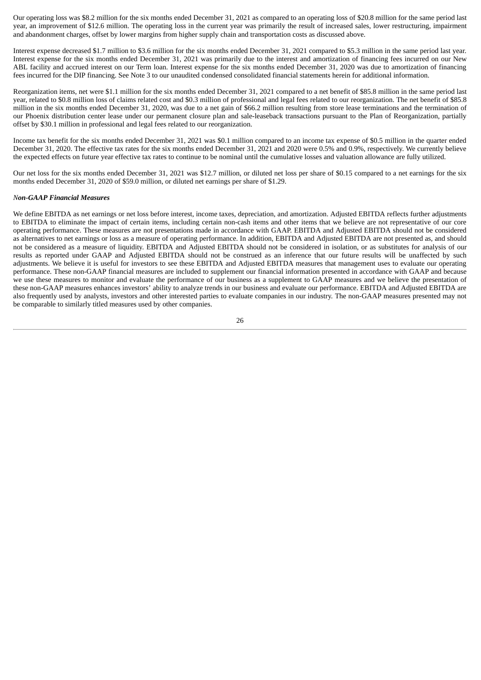Our operating loss was \$8.2 million for the six months ended December 31, 2021 as compared to an operating loss of \$20.8 million for the same period last year, an improvement of \$12.6 million. The operating loss in the current year was primarily the result of increased sales, lower restructuring, impairment and abandonment charges, offset by lower margins from higher supply chain and transportation costs as discussed above.

Interest expense decreased \$1.7 million to \$3.6 million for the six months ended December 31, 2021 compared to \$5.3 million in the same period last year. Interest expense for the six months ended December 31, 2021 was primarily due to the interest and amortization of financing fees incurred on our New ABL facility and accrued interest on our Term loan. Interest expense for the six months ended December 31, 2020 was due to amortization of financing fees incurred for the DIP financing. See Note 3 to our unaudited condensed consolidated financial statements herein for additional information.

Reorganization items, net were \$1.1 million for the six months ended December 31, 2021 compared to a net benefit of \$85.8 million in the same period last year, related to \$0.8 million loss of claims related cost and \$0.3 million of professional and legal fees related to our reorganization. The net benefit of \$85.8 million in the six months ended December 31, 2020, was due to a net gain of \$66.2 million resulting from store lease terminations and the termination of our Phoenix distribution center lease under our permanent closure plan and sale-leaseback transactions pursuant to the Plan of Reorganization, partially offset by \$30.1 million in professional and legal fees related to our reorganization.

Income tax benefit for the six months ended December 31, 2021 was \$0.1 million compared to an income tax expense of \$0.5 million in the quarter ended December 31, 2020. The effective tax rates for the six months ended December 31, 2021 and 2020 were 0.5% and 0.9%, respectively. We currently believe the expected effects on future year effective tax rates to continue to be nominal until the cumulative losses and valuation allowance are fully utilized.

Our net loss for the six months ended December 31, 2021 was \$12.7 million, or diluted net loss per share of \$0.15 compared to a net earnings for the six months ended December 31, 2020 of \$59.0 million, or diluted net earnings per share of \$1.29.

## *Non-GAAP Financial Measures*

We define EBITDA as net earnings or net loss before interest, income taxes, depreciation, and amortization. Adjusted EBITDA reflects further adjustments to EBITDA to eliminate the impact of certain items, including certain non-cash items and other items that we believe are not representative of our core operating performance. These measures are not presentations made in accordance with GAAP. EBITDA and Adjusted EBITDA should not be considered as alternatives to net earnings or loss as a measure of operating performance. In addition, EBITDA and Adjusted EBITDA are not presented as, and should not be considered as a measure of liquidity. EBITDA and Adjusted EBITDA should not be considered in isolation, or as substitutes for analysis of our results as reported under GAAP and Adjusted EBITDA should not be construed as an inference that our future results will be unaffected by such adjustments. We believe it is useful for investors to see these EBITDA and Adjusted EBITDA measures that management uses to evaluate our operating performance. These non-GAAP financial measures are included to supplement our financial information presented in accordance with GAAP and because we use these measures to monitor and evaluate the performance of our business as a supplement to GAAP measures and we believe the presentation of these non-GAAP measures enhances investors' ability to analyze trends in our business and evaluate our performance. EBITDA and Adjusted EBITDA are also frequently used by analysts, investors and other interested parties to evaluate companies in our industry. The non-GAAP measures presented may not be comparable to similarly titled measures used by other companies.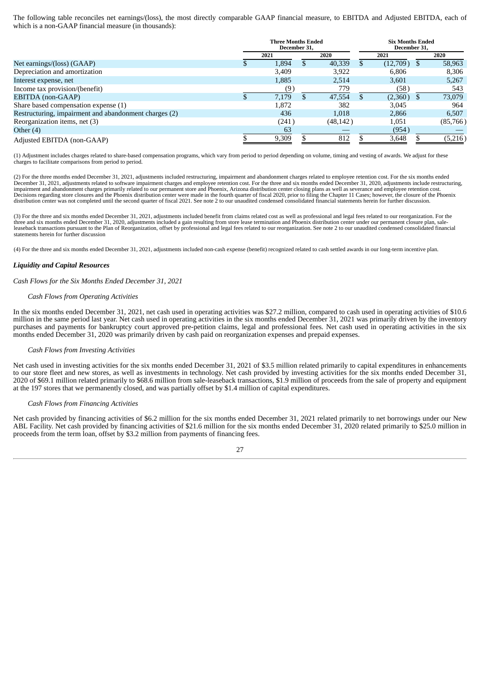The following table reconciles net earnings/(loss), the most directly comparable GAAP financial measure, to EBITDA and Adjusted EBITDA, each of which is a non-GAAP financial measure (in thousands):

|                                                       | <b>Three Months Ended</b><br>December 31. |       |     | <b>Six Months Ended</b><br>December 31. |               |  |          |
|-------------------------------------------------------|-------------------------------------------|-------|-----|-----------------------------------------|---------------|--|----------|
|                                                       |                                           | 2021  |     | 2020                                    | 2021          |  | 2020     |
| Net earnings/(loss) (GAAP)                            |                                           | 1.894 | \$. | 40,339                                  | $(12,709)$ \$ |  | 58,963   |
| Depreciation and amortization                         |                                           | 3.409 |     | 3,922                                   | 6,806         |  | 8,306    |
| Interest expense, net                                 |                                           | 1,885 |     | 2,514                                   | 3,601         |  | 5,267    |
| Income tax provision/(benefit)                        |                                           | (9)   |     | 779                                     | (58)          |  | 543      |
| EBITDA (non-GAAP)                                     |                                           | 7.179 | SS. | 47,554                                  | (2,360)       |  | 73,079   |
| Share based compensation expense (1)                  |                                           | 1,872 |     | 382                                     | 3,045         |  | 964      |
| Restructuring, impairment and abandonment charges (2) |                                           | 436   |     | 1.018                                   | 2,866         |  | 6,507    |
| Reorganization items, net (3)                         |                                           | (241) |     | (48, 142)                               | 1,051         |  | (85,766) |
| Other $(4)$                                           |                                           | 63    |     |                                         | (954)         |  |          |
| Adjusted EBITDA (non-GAAP)                            |                                           | 9,309 |     | 812                                     | 3,648         |  | (5,216)  |

(1) Adjustment includes charges related to share-based compensation programs, which vary from period to period depending on volume, timing and vesting of awards. We adjust for these charges to facilitate comparisons from period to period.

(2) For the three months ended December 31, 2021, adjustments included restructuring, impairment and abandonment charges related to employee retention cost. For the six months ended December 31, 2021, adjustments related to software impairment charges and employee retention cost. For the three and six months ended December 31, 2020, adjustments include restructuring,<br>impairment and abandonment charges Decisions regarding store closures and the Phoenix distribution center were made in the fourth quarter of fiscal 2020, prior to filing the Chapter 11 Cases; however, the closure of the Phoenix distribution center was not completed until the second quarter of fiscal 2021. See note 2 to our unaudited condensed consolidated financial statements herein for further discussion.

(3) For the three and six months ended December 31, 2021, adjustments included benefit from claims related cost as well as professional and legal fees related to our reorganization. For the three and six months ended December 31, 2020, adjustments included a gain resulting from store lease termination and Phoenix distribution center under our permanent closure plan, saleleaseback transactions pursuant to the Plan of Reorganization, offset by professional and legal fees related to our reorganization. See note 2 to our unaudited condensed consolidated financial statements herein for further discussion

(4) For the three and six months ended December 31, 2021, adjustments included non-cash expense (benefit) recognized related to cash settled awards in our long-term incentive plan.

#### *Liquidity and Capital Resources*

*Cash Flows for the Six Months Ended December 31, 2021*

#### *Cash Flows from Operating Activities*

In the six months ended December 31, 2021, net cash used in operating activities was \$27.2 million, compared to cash used in operating activities of \$10.6 million in the same period last year. Net cash used in operating activities in the six months ended December 31, 2021 was primarily driven by the inventory purchases and payments for bankruptcy court approved pre-petition claims, legal and professional fees. Net cash used in operating activities in the six months ended December 31, 2020 was primarily driven by cash paid on reorganization expenses and prepaid expenses.

#### *Cash Flows from Investing Activities*

Net cash used in investing activities for the six months ended December 31, 2021 of \$3.5 million related primarily to capital expenditures in enhancements to our store fleet and new stores, as well as investments in technology. Net cash provided by investing activities for the six months ended December 31, 2020 of \$69.1 million related primarily to \$68.6 million from sale-leaseback transactions, \$1.9 million of proceeds from the sale of property and equipment at the 197 stores that we permanently closed, and was partially offset by \$1.4 million of capital expenditures.

#### *Cash Flows from Financing Activities*

Net cash provided by financing activities of \$6.2 million for the six months ended December 31, 2021 related primarily to net borrowings under our New ABL Facility. Net cash provided by financing activities of \$21.6 million for the six months ended December 31, 2020 related primarily to \$25.0 million in proceeds from the term loan, offset by \$3.2 million from payments of financing fees.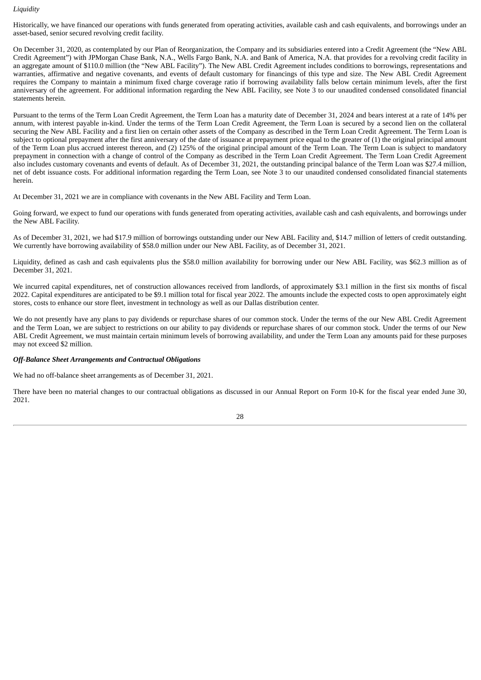## *Liquidity*

Historically, we have financed our operations with funds generated from operating activities, available cash and cash equivalents, and borrowings under an asset-based, senior secured revolving credit facility.

On December 31, 2020, as contemplated by our Plan of Reorganization, the Company and its subsidiaries entered into a Credit Agreement (the "New ABL Credit Agreement") with JPMorgan Chase Bank, N.A., Wells Fargo Bank, N.A. and Bank of America, N.A. that provides for a revolving credit facility in an aggregate amount of \$110.0 million (the "New ABL Facility"). The New ABL Credit Agreement includes conditions to borrowings, representations and warranties, affirmative and negative covenants, and events of default customary for financings of this type and size. The New ABL Credit Agreement requires the Company to maintain a minimum fixed charge coverage ratio if borrowing availability falls below certain minimum levels, after the first anniversary of the agreement. For additional information regarding the New ABL Facility, see Note 3 to our unaudited condensed consolidated financial statements herein.

Pursuant to the terms of the Term Loan Credit Agreement, the Term Loan has a maturity date of December 31, 2024 and bears interest at a rate of 14% per annum, with interest payable in-kind. Under the terms of the Term Loan Credit Agreement, the Term Loan is secured by a second lien on the collateral securing the New ABL Facility and a first lien on certain other assets of the Company as described in the Term Loan Credit Agreement. The Term Loan is subject to optional prepayment after the first anniversary of the date of issuance at prepayment price equal to the greater of (1) the original principal amount of the Term Loan plus accrued interest thereon, and (2) 125% of the original principal amount of the Term Loan. The Term Loan is subject to mandatory prepayment in connection with a change of control of the Company as described in the Term Loan Credit Agreement. The Term Loan Credit Agreement also includes customary covenants and events of default. As of December 31, 2021, the outstanding principal balance of the Term Loan was \$27.4 million, net of debt issuance costs. For additional information regarding the Term Loan, see Note 3 to our unaudited condensed consolidated financial statements herein.

At December 31, 2021 we are in compliance with covenants in the New ABL Facility and Term Loan.

Going forward, we expect to fund our operations with funds generated from operating activities, available cash and cash equivalents, and borrowings under the New ABL Facility.

As of December 31, 2021, we had \$17.9 million of borrowings outstanding under our New ABL Facility and, \$14.7 million of letters of credit outstanding. We currently have borrowing availability of \$58.0 million under our New ABL Facility, as of December 31, 2021.

Liquidity, defined as cash and cash equivalents plus the \$58.0 million availability for borrowing under our New ABL Facility, was \$62.3 million as of December 31, 2021.

We incurred capital expenditures, net of construction allowances received from landlords, of approximately \$3.1 million in the first six months of fiscal 2022. Capital expenditures are anticipated to be \$9.1 million total for fiscal year 2022. The amounts include the expected costs to open approximately eight stores, costs to enhance our store fleet, investment in technology as well as our Dallas distribution center.

We do not presently have any plans to pay dividends or repurchase shares of our common stock. Under the terms of the our New ABL Credit Agreement and the Term Loan, we are subject to restrictions on our ability to pay dividends or repurchase shares of our common stock. Under the terms of our New ABL Credit Agreement, we must maintain certain minimum levels of borrowing availability, and under the Term Loan any amounts paid for these purposes may not exceed \$2 million.

#### *Off-Balance Sheet Arrangements and Contractual Obligations*

We had no off-balance sheet arrangements as of December 31, 2021.

There have been no material changes to our contractual obligations as discussed in our Annual Report on Form 10-K for the fiscal year ended June 30, 2021.

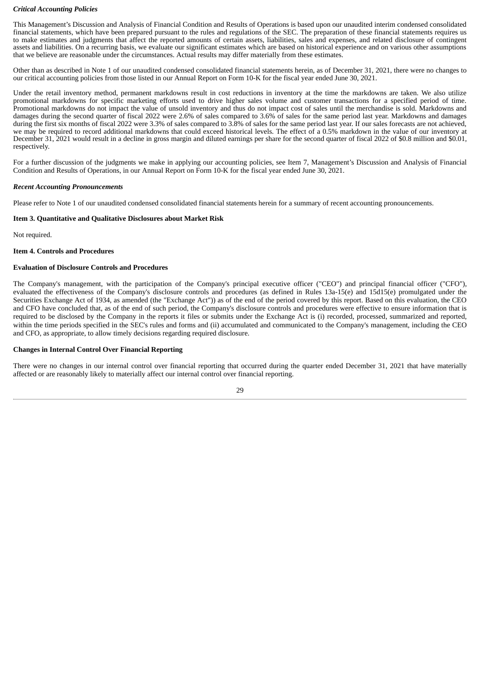#### *Critical Accounting Policies*

This Management's Discussion and Analysis of Financial Condition and Results of Operations is based upon our unaudited interim condensed consolidated financial statements, which have been prepared pursuant to the rules and regulations of the SEC. The preparation of these financial statements requires us to make estimates and judgments that affect the reported amounts of certain assets, liabilities, sales and expenses, and related disclosure of contingent assets and liabilities. On a recurring basis, we evaluate our significant estimates which are based on historical experience and on various other assumptions that we believe are reasonable under the circumstances. Actual results may differ materially from these estimates.

Other than as described in Note 1 of our unaudited condensed consolidated financial statements herein, as of December 31, 2021, there were no changes to our critical accounting policies from those listed in our Annual Report on Form 10-K for the fiscal year ended June 30, 2021.

Under the retail inventory method, permanent markdowns result in cost reductions in inventory at the time the markdowns are taken. We also utilize promotional markdowns for specific marketing efforts used to drive higher sales volume and customer transactions for a specified period of time. Promotional markdowns do not impact the value of unsold inventory and thus do not impact cost of sales until the merchandise is sold. Markdowns and damages during the second quarter of fiscal 2022 were 2.6% of sales compared to 3.6% of sales for the same period last year. Markdowns and damages during the first six months of fiscal 2022 were 3.3% of sales compared to 3.8% of sales for the same period last year. If our sales forecasts are not achieved, we may be required to record additional markdowns that could exceed historical levels. The effect of a 0.5% markdown in the value of our inventory at December 31, 2021 would result in a decline in gross margin and diluted earnings per share for the second quarter of fiscal 2022 of \$0.8 million and \$0.01, respectively.

For a further discussion of the judgments we make in applying our accounting policies, see Item 7, Management's Discussion and Analysis of Financial Condition and Results of Operations, in our Annual Report on Form 10-K for the fiscal year ended June 30, 2021.

## *Recent Accounting Pronouncements*

Please refer to Note 1 of our unaudited condensed consolidated financial statements herein for a summary of recent accounting pronouncements.

## <span id="page-28-0"></span>**Item 3. Quantitative and Qualitative Disclosures about Market Risk**

Not required.

## <span id="page-28-1"></span>**Item 4. Controls and Procedures**

## **Evaluation of Disclosure Controls and Procedures**

The Company's management, with the participation of the Company's principal executive officer ("CEO") and principal financial officer ("CFO"), evaluated the effectiveness of the Company's disclosure controls and procedures (as defined in Rules 13a-15(e) and 15d15(e) promulgated under the Securities Exchange Act of 1934, as amended (the "Exchange Act")) as of the end of the period covered by this report. Based on this evaluation, the CEO and CFO have concluded that, as of the end of such period, the Company's disclosure controls and procedures were effective to ensure information that is required to be disclosed by the Company in the reports it files or submits under the Exchange Act is (i) recorded, processed, summarized and reported, within the time periods specified in the SEC's rules and forms and (ii) accumulated and communicated to the Company's management, including the CEO and CFO, as appropriate, to allow timely decisions regarding required disclosure.

#### **Changes in Internal Control Over Financial Reporting**

There were no changes in our internal control over financial reporting that occurred during the quarter ended December 31, 2021 that have materially affected or are reasonably likely to materially affect our internal control over financial reporting.

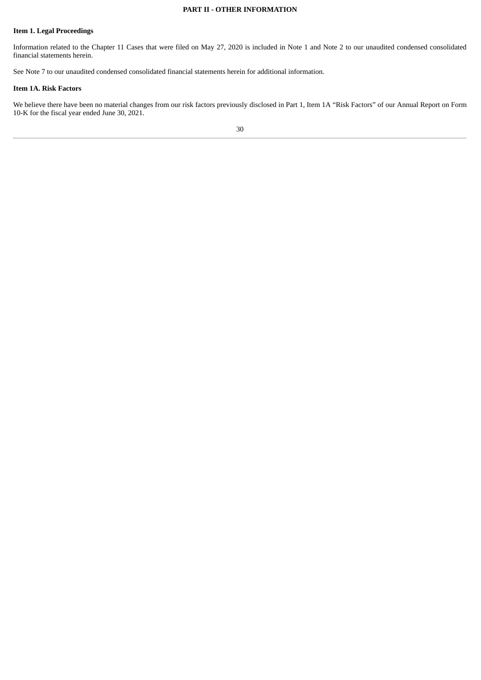## **PART II - OTHER INFORMATION**

# <span id="page-29-1"></span><span id="page-29-0"></span>**Item 1. Legal Proceedings**

Information related to the Chapter 11 Cases that were filed on May 27, 2020 is included in Note 1 and Note 2 to our unaudited condensed consolidated financial statements herein.

See Note 7 to our unaudited condensed consolidated financial statements herein for additional information.

#### <span id="page-29-2"></span>**Item 1A. Risk Factors**

We believe there have been no material changes from our risk factors previously disclosed in Part 1, Item 1A "Risk Factors" of our Annual Report on Form 10-K for the fiscal year ended June 30, 2021.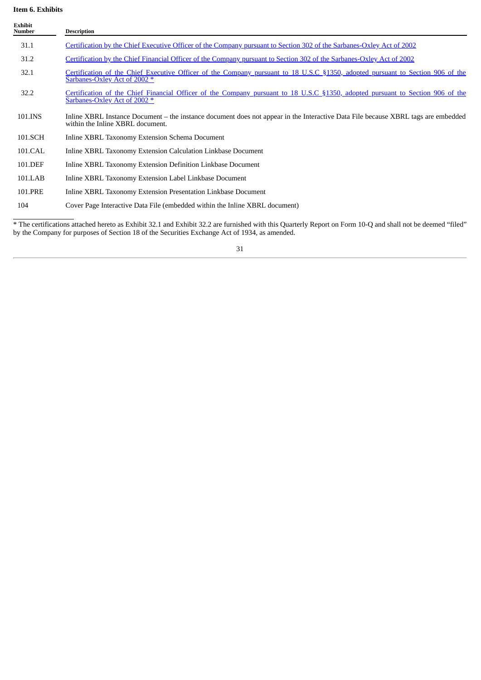# <span id="page-30-0"></span>**Item 6. Exhibits**

| <b>Exhibit</b><br><b>Number</b> | <b>Description</b>                                                                                                                                                    |
|---------------------------------|-----------------------------------------------------------------------------------------------------------------------------------------------------------------------|
| 31.1                            | Certification by the Chief Executive Officer of the Company pursuant to Section 302 of the Sarbanes-Oxley Act of 2002                                                 |
| 31.2                            | Certification by the Chief Financial Officer of the Company pursuant to Section 302 of the Sarbanes-Oxley Act of 2002                                                 |
| 32.1                            | Certification of the Chief Executive Officer of the Company pursuant to 18 U.S.C §1350, adopted pursuant to Section 906 of the<br>Sarbanes-Oxley Act of 2002 *        |
| 32.2                            | Certification of the Chief Financial Officer of the Company pursuant to 18 U.S.C §1350, adopted pursuant to Section 906 of the<br>Sarbanes-Oxley Act of 2002 *        |
| 101.INS                         | Inline XBRL Instance Document - the instance document does not appear in the Interactive Data File because XBRL tags are embedded<br>within the Inline XBRL document. |
| 101.SCH                         | Inline XBRL Taxonomy Extension Schema Document                                                                                                                        |
| 101.CAL                         | Inline XBRL Taxonomy Extension Calculation Linkbase Document                                                                                                          |
| 101.DEF                         | Inline XBRL Taxonomy Extension Definition Linkbase Document                                                                                                           |
| 101.LAB                         | Inline XBRL Taxonomy Extension Label Linkbase Document                                                                                                                |
| 101.PRE                         | Inline XBRL Taxonomy Extension Presentation Linkbase Document                                                                                                         |
| 104                             | Cover Page Interactive Data File (embedded within the Inline XBRL document)                                                                                           |

\* The certifications attached hereto as Exhibit 32.1 and Exhibit 32.2 are furnished with this Quarterly Report on Form 10-Q and shall not be deemed "filed" by the Company for purposes of Section 18 of the Securities Exchange Act of 1934, as amended.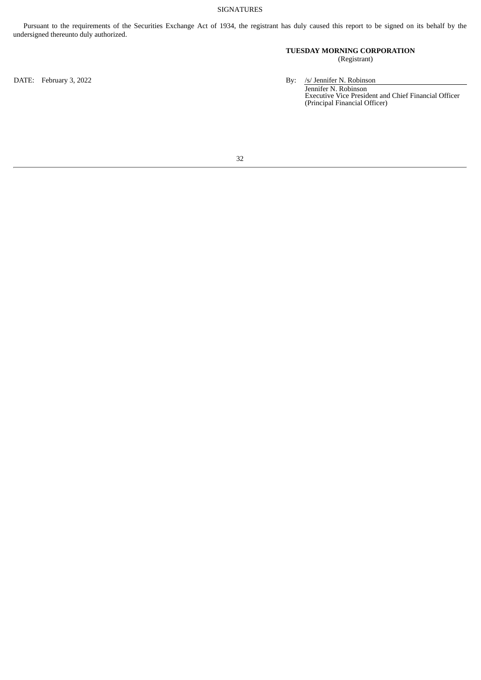<span id="page-31-0"></span>Pursuant to the requirements of the Securities Exchange Act of 1934, the registrant has duly caused this report to be signed on its behalf by the undersigned thereunto duly authorized.

# **TUESDAY MORNING CORPORATION** (Registrant)

DATE: February 3, 2022 By: /s/ Jennifer N. Robinson

Jennifer N. Robinson Executive Vice President and Chief Financial Officer (Principal Financial Officer)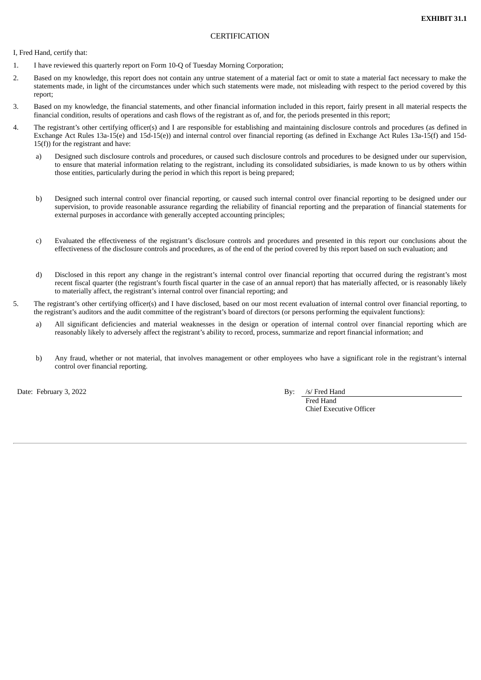## **CERTIFICATION**

<span id="page-32-0"></span>I, Fred Hand, certify that:

- 1. I have reviewed this quarterly report on Form 10-Q of Tuesday Morning Corporation;
- 2. Based on my knowledge, this report does not contain any untrue statement of a material fact or omit to state a material fact necessary to make the statements made, in light of the circumstances under which such statements were made, not misleading with respect to the period covered by this report;
- 3. Based on my knowledge, the financial statements, and other financial information included in this report, fairly present in all material respects the financial condition, results of operations and cash flows of the registrant as of, and for, the periods presented in this report;
- 4. The registrant's other certifying officer(s) and I are responsible for establishing and maintaining disclosure controls and procedures (as defined in Exchange Act Rules 13a-15(e) and 15d-15(e)) and internal control over financial reporting (as defined in Exchange Act Rules 13a-15(f) and 15d-15(f)) for the registrant and have:
	- a) Designed such disclosure controls and procedures, or caused such disclosure controls and procedures to be designed under our supervision, to ensure that material information relating to the registrant, including its consolidated subsidiaries, is made known to us by others within those entities, particularly during the period in which this report is being prepared;
	- b) Designed such internal control over financial reporting, or caused such internal control over financial reporting to be designed under our supervision, to provide reasonable assurance regarding the reliability of financial reporting and the preparation of financial statements for external purposes in accordance with generally accepted accounting principles;
	- c) Evaluated the effectiveness of the registrant's disclosure controls and procedures and presented in this report our conclusions about the effectiveness of the disclosure controls and procedures, as of the end of the period covered by this report based on such evaluation; and
	- d) Disclosed in this report any change in the registrant's internal control over financial reporting that occurred during the registrant's most recent fiscal quarter (the registrant's fourth fiscal quarter in the case of an annual report) that has materially affected, or is reasonably likely to materially affect, the registrant's internal control over financial reporting; and
- 5. The registrant's other certifying officer(s) and I have disclosed, based on our most recent evaluation of internal control over financial reporting, to the registrant's auditors and the audit committee of the registrant's board of directors (or persons performing the equivalent functions):
	- a) All significant deficiencies and material weaknesses in the design or operation of internal control over financial reporting which are reasonably likely to adversely affect the registrant's ability to record, process, summarize and report financial information; and
	- b) Any fraud, whether or not material, that involves management or other employees who have a significant role in the registrant's internal control over financial reporting.

Date: February 3, 2022 **By:** /s/ Fred Hand

Fred Hand Chief Executive Officer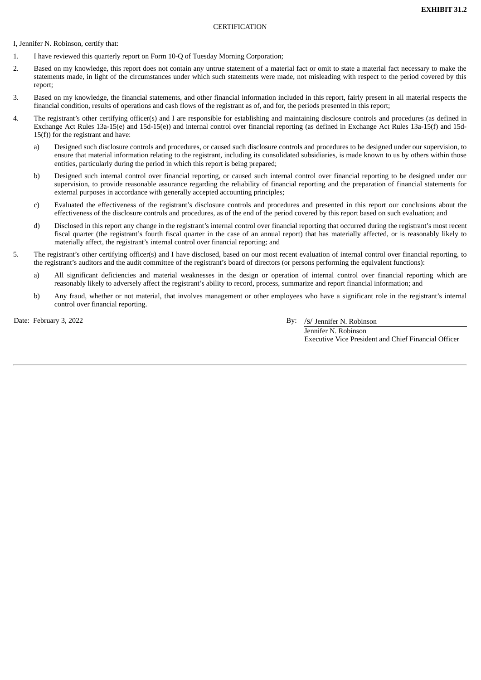#### **CERTIFICATION**

<span id="page-33-0"></span>I, Jennifer N. Robinson, certify that:

- 1. I have reviewed this quarterly report on Form 10-Q of Tuesday Morning Corporation;
- 2. Based on my knowledge, this report does not contain any untrue statement of a material fact or omit to state a material fact necessary to make the statements made, in light of the circumstances under which such statements were made, not misleading with respect to the period covered by this report;
- 3. Based on my knowledge, the financial statements, and other financial information included in this report, fairly present in all material respects the financial condition, results of operations and cash flows of the registrant as of, and for, the periods presented in this report;
- 4. The registrant's other certifying officer(s) and I are responsible for establishing and maintaining disclosure controls and procedures (as defined in Exchange Act Rules 13a-15(e) and 15d-15(e)) and internal control over financial reporting (as defined in Exchange Act Rules 13a-15(f) and 15d- $15(f)$ ) for the registrant and have:
	- a) Designed such disclosure controls and procedures, or caused such disclosure controls and procedures to be designed under our supervision, to ensure that material information relating to the registrant, including its consolidated subsidiaries, is made known to us by others within those entities, particularly during the period in which this report is being prepared;
	- b) Designed such internal control over financial reporting, or caused such internal control over financial reporting to be designed under our supervision, to provide reasonable assurance regarding the reliability of financial reporting and the preparation of financial statements for external purposes in accordance with generally accepted accounting principles;
	- c) Evaluated the effectiveness of the registrant's disclosure controls and procedures and presented in this report our conclusions about the effectiveness of the disclosure controls and procedures, as of the end of the period covered by this report based on such evaluation; and
	- d) Disclosed in this report any change in the registrant's internal control over financial reporting that occurred during the registrant's most recent fiscal quarter (the registrant's fourth fiscal quarter in the case of an annual report) that has materially affected, or is reasonably likely to materially affect, the registrant's internal control over financial reporting; and
- 5. The registrant's other certifying officer(s) and I have disclosed, based on our most recent evaluation of internal control over financial reporting, to the registrant's auditors and the audit committee of the registrant's board of directors (or persons performing the equivalent functions):
	- a) All significant deficiencies and material weaknesses in the design or operation of internal control over financial reporting which are reasonably likely to adversely affect the registrant's ability to record, process, summarize and report financial information; and
	- b) Any fraud, whether or not material, that involves management or other employees who have a significant role in the registrant's internal control over financial reporting.

Date: February 3, 2022 **By:** /s/ Jennifer N. Robinson Jennifer N. Robinson Executive Vice President and Chief Financial Officer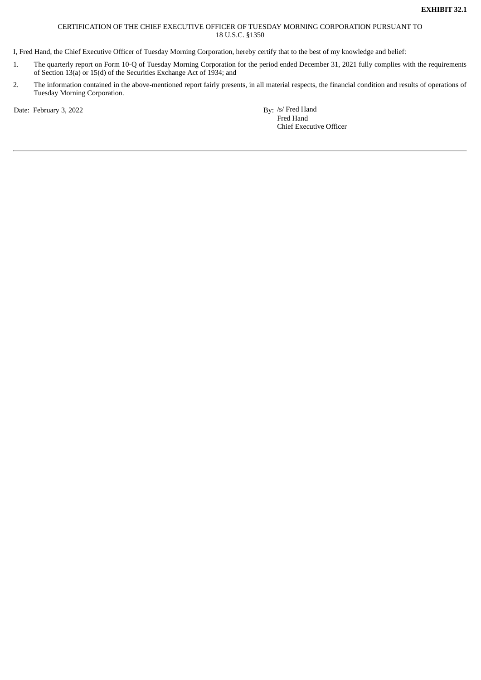## CERTIFICATION OF THE CHIEF EXECUTIVE OFFICER OF TUESDAY MORNING CORPORATION PURSUANT TO 18 U.S.C. §1350

<span id="page-34-0"></span>I, Fred Hand, the Chief Executive Officer of Tuesday Morning Corporation, hereby certify that to the best of my knowledge and belief:

- 1. The quarterly report on Form 10-Q of Tuesday Morning Corporation for the period ended December 31, 2021 fully complies with the requirements of Section 13(a) or 15(d) of the Securities Exchange Act of 1934; and
- 2. The information contained in the above-mentioned report fairly presents, in all material respects, the financial condition and results of operations of Tuesday Morning Corporation.

Date: February 3, 2022 By: /s/ Fred Hand

Fred Hand Chief Executive Officer